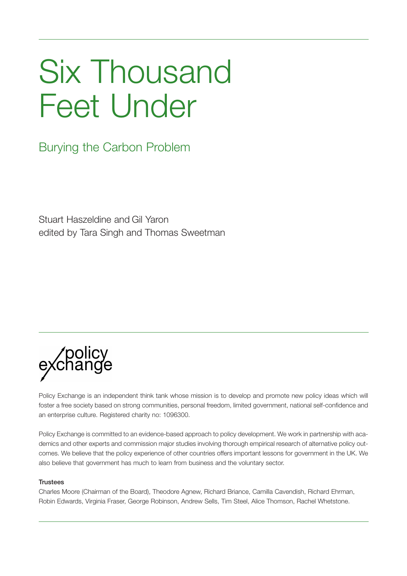## Six Thousand Feet Under

Burying the Carbon Problem

Stuart Haszeldine and Gil Yaron edited by Tara Singh and Thomas Sweetman



Policy Exchange is an independent think tank whose mission is to develop and promote new policy ideas which will foster a free society based on strong communities, personal freedom, limited government, national self-confidence and an enterprise culture. Registered charity no: 1096300.

Policy Exchange is committed to an evidence-based approach to policy development. We work in partnership with academics and other experts and commission major studies involving thorough empirical research of alternative policy outcomes. We believe that the policy experience of other countries offers important lessons for government in the UK. We also believe that government has much to learn from business and the voluntary sector.

#### **Trustees**

Charles Moore (Chairman of the Board), Theodore Agnew, Richard Briance, Camilla Cavendish, Richard Ehrman, Robin Edwards, Virginia Fraser, George Robinson, Andrew Sells, Tim Steel, Alice Thomson, Rachel Whetstone.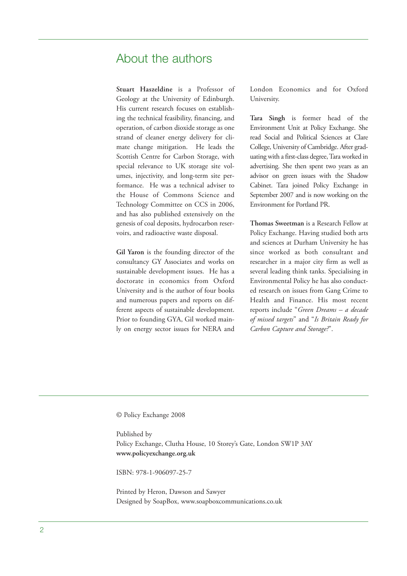### About the authors

**Stuart Haszeldine** is a Professor of Geology at the University of Edinburgh. His current research focuses on establishing the technical feasibility, financing, and operation, of carbon dioxide storage as one strand of cleaner energy delivery for climate change mitigation. He leads the Scottish Centre for Carbon Storage, with special relevance to UK storage site volumes, injectivity, and long-term site performance. He was a technical adviser to the House of Commons Science and Technology Committee on CCS in 2006, and has also published extensively on the genesis of coal deposits, hydrocarbon reservoirs, and radioactive waste disposal.

**Gil Yaron** is the founding director of the consultancy GY Associates and works on sustainable development issues. He has a doctorate in economics from Oxford University and is the author of four books and numerous papers and reports on different aspects of sustainable development. Prior to founding GYA, Gil worked mainly on energy sector issues for NERA and London Economics and for Oxford University.

**Tara Singh** is former head of the Environment Unit at Policy Exchange. She read Social and Political Sciences at Clare College, University of Cambridge. After graduating with a first-class degree,Tara worked in advertising. She then spent two years as an advisor on green issues with the Shadow Cabinet. Tara joined Policy Exchange in September 2007 and is now working on the Environment for Portland PR.

**Thomas Sweetman** is a Research Fellow at Policy Exchange. Having studied both arts and sciences at Durham University he has since worked as both consultant and researcher in a major city firm as well as several leading think tanks. Specialising in Environmental Policy he has also conducted research on issues from Gang Crime to Health and Finance. His most recent reports include "*Green Dreams – a decade of missed targets*" and "*Is Britain Ready for Carbon Capture and Storage?*".

© Policy Exchange 2008

Published by Policy Exchange, Clutha House, 10 Storey's Gate, London SW1P 3AY **www.policyexchange.org.uk**

ISBN: 978-1-906097-25-7

Printed by Heron, Dawson and Sawyer Designed by SoapBox, www.soapboxcommunications.co.uk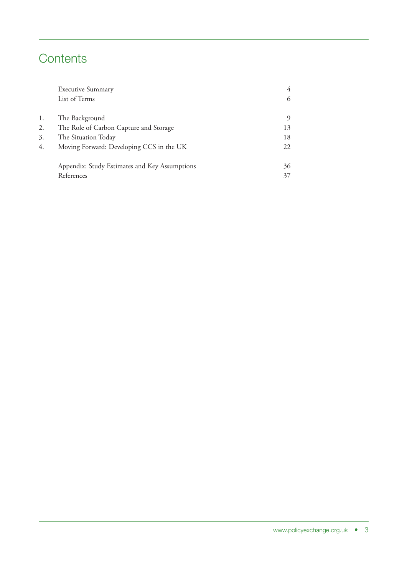## **Contents**

|    | <b>Executive Summary</b>                      |    |
|----|-----------------------------------------------|----|
|    | List of Terms                                 |    |
| 1. | The Background                                | O) |
| 2. | The Role of Carbon Capture and Storage        | 13 |
| 3. | The Situation Today                           | 18 |
| 4. | Moving Forward: Developing CCS in the UK      | 22 |
|    | Appendix: Study Estimates and Key Assumptions | 36 |
|    | References                                    | 37 |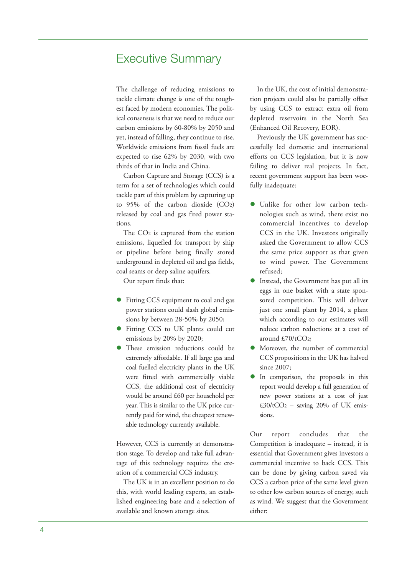### Executive Summary

The challenge of reducing emissions to tackle climate change is one of the toughest faced by modern economies. The political consensus is that we need to reduce our carbon emissions by 60-80% by 2050 and yet, instead of falling, they continue to rise. Worldwide emissions from fossil fuels are expected to rise 62% by 2030, with two thirds of that in India and China.

Carbon Capture and Storage (CCS) is a term for a set of technologies which could tackle part of this problem by capturing up to 95% of the carbon dioxide (CO2) released by coal and gas fired power stations.

The CO2 is captured from the station emissions, liquefied for transport by ship or pipeline before being finally stored underground in depleted oil and gas fields, coal seams or deep saline aquifers.

Our report finds that:

- Fitting CCS equipment to coal and gas power stations could slash global emissions by between 28-50% by 2050;
- **Fitting CCS to UK plants could cut** emissions by 20% by 2020;
- These emission reductions could be extremely affordable. If all large gas and coal fuelled electricity plants in the UK were fitted with commercially viable CCS, the additional cost of electricity would be around £60 per household per year. This is similar to the UK price currently paid for wind, the cheapest renewable technology currently available.

However, CCS is currently at demonstration stage. To develop and take full advantage of this technology requires the creation of a commercial CCS industry.

The UK is in an excellent position to do this, with world leading experts, an established engineering base and a selection of available and known storage sites.

In the UK, the cost of initial demonstration projects could also be partially offset by using CCS to extract extra oil from depleted reservoirs in the North Sea (Enhanced Oil Recovery, EOR).

Previously the UK government has successfully led domestic and international efforts on CCS legislation, but it is now failing to deliver real projects. In fact, recent government support has been woefully inadequate:

- Unlike for other low carbon technologies such as wind, there exist no commercial incentives to develop CCS in the UK. Investors originally asked the Government to allow CCS the same price support as that given to wind power. The Government refused;
- Instead, the Government has put all its eggs in one basket with a state sponsored competition. This will deliver just one small plant by 2014, a plant which according to our estimates will reduce carbon reductions at a cost of around  $f$ .70/tCO<sub>2</sub>:
- Moreover, the number of commercial CCS propositions in the UK has halved since 2007;
- In comparison, the proposals in this report would develop a full generation of new power stations at a cost of just  $£30/tCO<sub>2</sub> - saving 20% of UK emis$ sions.

Our report concludes that the Competition is inadequate – instead, it is essential that Government gives investors a commercial incentive to back CCS. This can be done by giving carbon saved via CCS a carbon price of the same level given to other low carbon sources of energy, such as wind. We suggest that the Government either: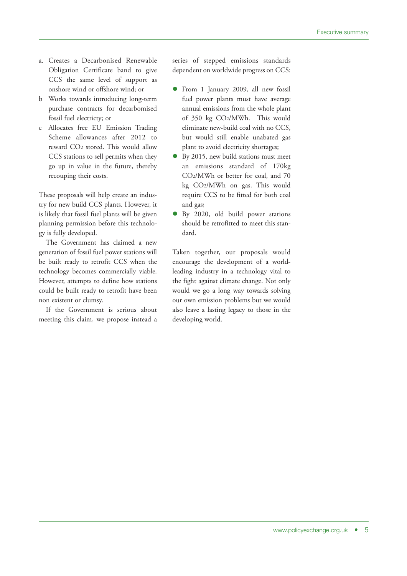- a. Creates a Decarbonised Renewable Obligation Certificate band to give CCS the same level of support as onshore wind or offshore wind; or
- b Works towards introducing long-term purchase contracts for decarbomised fossil fuel electricty; or
- c Allocates free EU Emission Trading Scheme allowances after 2012 to reward CO2 stored. This would allow CCS stations to sell permits when they go up in value in the future, thereby recouping their costs.

These proposals will help create an industry for new build CCS plants. However, it is likely that fossil fuel plants will be given planning permission before this technology is fully developed.

The Government has claimed a new generation of fossil fuel power stations will be built ready to retrofit CCS when the technology becomes commercially viable. However, attempts to define how stations could be built ready to retrofit have been non existent or clumsy.

If the Government is serious about meeting this claim, we propose instead a series of stepped emissions standards dependent on worldwide progress on CCS:

- From 1 January 2009, all new fossil fuel power plants must have average annual emissions from the whole plant of 350 kg CO2/MWh. This would eliminate new-build coal with no CCS, but would still enable unabated gas plant to avoid electricity shortages;
- By 2015, new build stations must meet an emissions standard of 170kg CO2/MWh or better for coal, and 70 kg CO2/MWh on gas. This would require CCS to be fitted for both coal and gas;
- By 2020, old build power stations should be retrofitted to meet this standard.

Taken together, our proposals would encourage the development of a worldleading industry in a technology vital to the fight against climate change. Not only would we go a long way towards solving our own emission problems but we would also leave a lasting legacy to those in the developing world.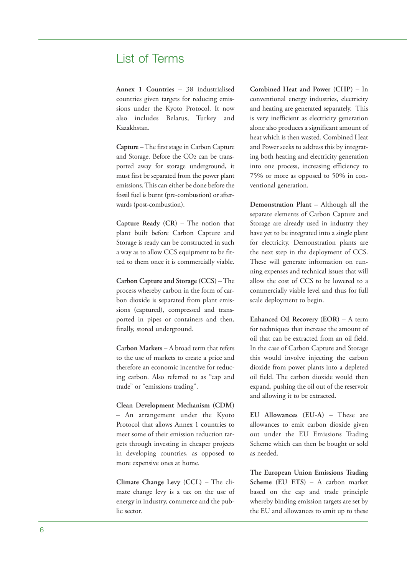## List of Terms

**Annex 1 Countries** – 38 industrialised countries given targets for reducing emissions under the Kyoto Protocol. It now also includes Belarus, Turkey and Kazakhstan.

**Capture** –The first stage in Carbon Capture and Storage. Before the CO2 can be transported away for storage underground, it must first be separated from the power plant emissions. This can either be done before the fossil fuel is burnt (pre-combustion) or afterwards (post-combustion).

**Capture Ready (CR)** – The notion that plant built before Carbon Capture and Storage is ready can be constructed in such a way as to allow CCS equipment to be fitted to them once it is commercially viable.

**Carbon Capture and Storage (CCS)** – The process whereby carbon in the form of carbon dioxide is separated from plant emissions (captured), compressed and transported in pipes or containers and then, finally, stored underground.

**Carbon Markets** – A broad term that refers to the use of markets to create a price and therefore an economic incentive for reducing carbon. Also referred to as "cap and trade" or "emissions trading".

**Clean Development Mechanism (CDM)** – An arrangement under the Kyoto Protocol that allows Annex 1 countries to meet some of their emission reduction targets through investing in cheaper projects in developing countries, as opposed to more expensive ones at home.

**Climate Change Levy (CCL)** – The climate change levy is a tax on the use of energy in industry, commerce and the public sector.

**Combined Heat and Power (CHP)** – In conventional energy industries, electricity and heating are generated separately. This is very inefficient as electricity generation alone also produces a significant amount of heat which is then wasted. Combined Heat and Power seeks to address this by integrating both heating and electricity generation into one process, increasing efficiency to 75% or more as opposed to 50% in conventional generation.

**Demonstration Plant** – Although all the separate elements of Carbon Capture and Storage are already used in industry they have yet to be integrated into a single plant for electricity. Demonstration plants are the next step in the deployment of CCS. These will generate information on running expenses and technical issues that will allow the cost of CCS to be lowered to a commercially viable level and thus for full scale deployment to begin.

**Enhanced Oil Recovery (EOR)** – A term for techniques that increase the amount of oil that can be extracted from an oil field. In the case of Carbon Capture and Storage this would involve injecting the carbon dioxide from power plants into a depleted oil field. The carbon dioxide would then expand, pushing the oil out of the reservoir and allowing it to be extracted.

**EU Allowances (EU-A)** – These are allowances to emit carbon dioxide given out under the EU Emissions Trading Scheme which can then be bought or sold as needed.

**The European Union Emissions Trading Scheme (EU ETS)** – A carbon market based on the cap and trade principle whereby binding emission targets are set by the EU and allowances to emit up to these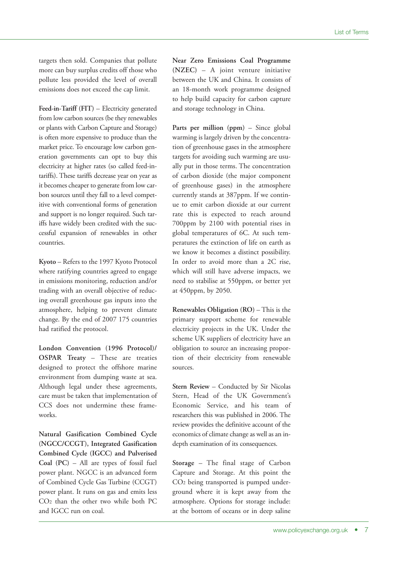targets then sold. Companies that pollute more can buy surplus credits off those who pollute less provided the level of overall emissions does not exceed the cap limit.

**Feed-in-Tariff (FIT)** – Electricity generated from low carbon sources (be they renewables or plants with Carbon Capture and Storage) is often more expensive to produce than the market price. To encourage low carbon generation governments can opt to buy this electricity at higher rates (so called feed-intariffs). These tariffs decrease year on year as it becomes cheaper to generate from low carbon sources until they fall to a level competitive with conventional forms of generation and support is no longer required. Such tariffs have widely been credited with the successful expansion of renewables in other countries.

**Kyoto** – Refers to the 1997 Kyoto Protocol where ratifying countries agreed to engage in emissions monitoring, reduction and/or trading with an overall objective of reducing overall greenhouse gas inputs into the atmosphere, helping to prevent climate change. By the end of 2007 175 countries had ratified the protocol.

**London Convention (1996 Protocol)/ OSPAR Treaty** – These are treaties designed to protect the offshore marine environment from dumping waste at sea. Although legal under these agreements, care must be taken that implementation of CCS does not undermine these frameworks.

**Natural Gasification Combined Cycle (NGCC/CCGT), Integrated Gasification Combined Cycle (IGCC) and Pulverised Coal (PC)** – All are types of fossil fuel power plant. NGCC is an advanced form of Combined Cycle Gas Turbine (CCGT) power plant. It runs on gas and emits less CO2 than the other two while both PC and IGCC run on coal.

**Near Zero Emissions Coal Programme (NZEC)** – A joint venture initiative between the UK and China. It consists of an 18-month work programme designed to help build capacity for carbon capture and storage technology in China.

**Parts per million (ppm)** – Since global warming is largely driven by the concentration of greenhouse gases in the atmosphere targets for avoiding such warming are usually put in those terms. The concentration of carbon dioxide (the major component of greenhouse gases) in the atmosphere currently stands at 387ppm. If we continue to emit carbon dioxide at our current rate this is expected to reach around 700ppm by 2100 with potential rises in global temperatures of 6C. At such temperatures the extinction of life on earth as we know it becomes a distinct possibility. In order to avoid more than a 2C rise, which will still have adverse impacts, we need to stabilise at 550ppm, or better yet at 450ppm, by 2050.

**Renewables Obligation (RO)** – This is the primary support scheme for renewable electricity projects in the UK. Under the scheme UK suppliers of electricity have an obligation to source an increasing proportion of their electricity from renewable sources.

**Stern Review** – Conducted by Sir Nicolas Stern, Head of the UK Government's Economic Service, and his team of researchers this was published in 2006. The review provides the definitive account of the economics of climate change as well as an indepth examination of its consequences.

**Storage** – The final stage of Carbon Capture and Storage. At this point the CO2 being transported is pumped underground where it is kept away from the atmosphere. Options for storage include: at the bottom of oceans or in deep saline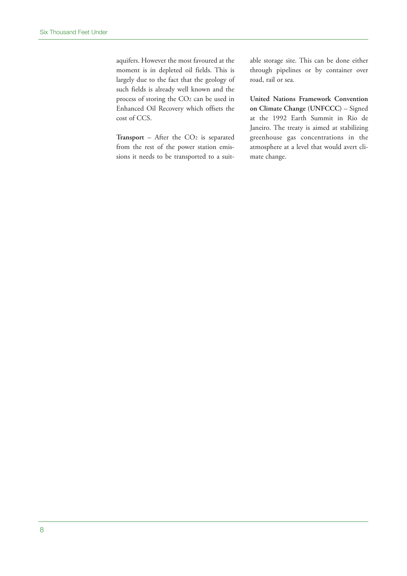aquifers. However the most favoured at the moment is in depleted oil fields. This is largely due to the fact that the geology of such fields is already well known and the process of storing the CO2 can be used in Enhanced Oil Recovery which offsets the cost of CCS.

Transport – After the CO<sub>2</sub> is separated from the rest of the power station emissions it needs to be transported to a suitable storage site. This can be done either through pipelines or by container over road, rail or sea.

**United Nations Framework Convention on Climate Change (UNFCCC)** – Signed at the 1992 Earth Summit in Rio de Janeiro. The treaty is aimed at stabilizing greenhouse gas concentrations in the atmosphere at a level that would avert climate change.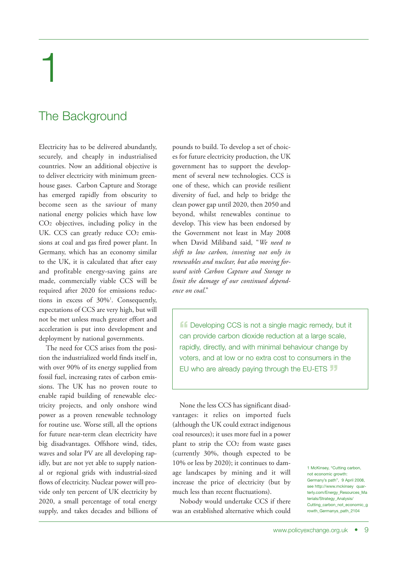# 1

## The Background

Electricity has to be delivered abundantly, securely, and cheaply in industrialised countries. Now an additional objective is to deliver electricity with minimum greenhouse gases. Carbon Capture and Storage has emerged rapidly from obscurity to become seen as the saviour of many national energy policies which have low CO2 objectives, including policy in the UK. CCS can greatly reduce CO<sub>2</sub> emissions at coal and gas fired power plant. In Germany, which has an economy similar to the UK, it is calculated that after easy and profitable energy-saving gains are made, commercially viable CCS will be required after 2020 for emissions reductions in excess of 30%<sup>1</sup>. Consequently, expectations of CCS are very high, but will not be met unless much greater effort and acceleration is put into development and deployment by national governments.

The need for CCS arises from the position the industrialized world finds itself in, with over 90% of its energy supplied from fossil fuel, increasing rates of carbon emissions. The UK has no proven route to enable rapid building of renewable electricity projects, and only onshore wind power as a proven renewable technology for routine use. Worse still, all the options for future near-term clean electricity have big disadvantages. Offshore wind, tides, waves and solar PV are all developing rapidly, but are not yet able to supply national or regional grids with industrial-sized flows of electricity. Nuclear power will provide only ten percent of UK electricity by 2020, a small percentage of total energy supply, and takes decades and billions of pounds to build. To develop a set of choices for future electricity production, the UK government has to support the development of several new technologies. CCS is one of these, which can provide resilient diversity of fuel, and help to bridge the clean power gap until 2020, then 2050 and beyond, whilst renewables continue to develop. This view has been endorsed by the Government not least in May 2008 when David Miliband said, "*We need to shift to low carbon, investing not only in renewables and nuclear, but also moving forward with Carbon Capture and Storage to limit the damage of our continued dependence on coal*."

**ff** Developing CCS is not a single magic remedy, but it can provide carbon dioxide reduction at a large scale, rapidly, directly, and with minimal behaviour change by voters, and at low or no extra cost to consumers in the EU who are already paying through the EU-ETS **"**

None the less CCS has significant disadvantages: it relies on imported fuels (although the UK could extract indigenous coal resources); it uses more fuel in a power plant to strip the CO2 from waste gases (currently 30%, though expected to be 10% or less by 2020); it continues to damage landscapes by mining and it will increase the price of electricity (but by much less than recent fluctuations).

Nobody would undertake CCS if there was an established alternative which could 1 McKinsey, "Cutting carbon, not economic growth: Germany's path", 9 April 2008, see http://www.mckinsey\_quarterly.com/Energy\_Resources\_Ma terials/Strategy\_Analysis/ Cutting\_carbon\_not\_economic\_g rowth\_Germanys\_path\_2104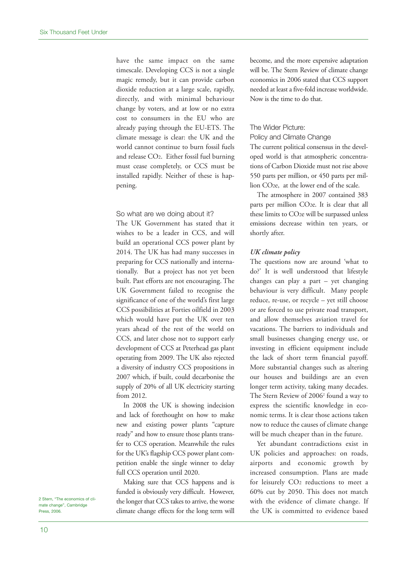have the same impact on the same timescale. Developing CCS is not a single magic remedy, but it can provide carbon dioxide reduction at a large scale, rapidly, directly, and with minimal behaviour change by voters, and at low or no extra cost to consumers in the EU who are already paying through the EU-ETS. The climate message is clear: the UK and the world cannot continue to burn fossil fuels and release CO2. Either fossil fuel burning must cease completely, or CCS must be installed rapidly. Neither of these is happening.

#### So what are we doing about it?

The UK Government has stated that it wishes to be a leader in CCS, and will build an operational CCS power plant by 2014. The UK has had many successes in preparing for CCS nationally and internationally. But a project has not yet been built. Past efforts are not encouraging. The UK Government failed to recognise the significance of one of the world's first large CCS possibilities at Forties oilfield in 2003 which would have put the UK over ten years ahead of the rest of the world on CCS, and later chose not to support early development of CCS at Peterhead gas plant operating from 2009. The UK also rejected a diversity of industry CCS propositions in 2007 which, if built, could decarbonise the supply of 20% of all UK electricity starting from 2012.

In 2008 the UK is showing indecision and lack of forethought on how to make new and existing power plants "capture ready" and how to ensure those plants transfer to CCS operation. Meanwhile the rules for the UK's flagship CCS power plant competition enable the single winner to delay full CCS operation until 2020.

Making sure that CCS happens and is funded is obviously very difficult. However, the longer that CCS takes to arrive, the worse climate change effects for the long term will become, and the more expensive adaptation will be. The Stern Review of climate change economics in 2006 stated that CCS support needed at least a five-fold increase worldwide. Now is the time to do that.

#### The Wider Picture:

#### Policy and Climate Change

The current political consensus in the developed world is that atmospheric concentrations of Carbon Dioxide must not rise above 550 parts per million, or 450 parts per million CO2e, at the lower end of the scale.

The atmosphere in 2007 contained 383 parts per million CO2e. It is clear that all these limits to CO2e will be surpassed unless emissions decrease within ten years, or shortly after.

#### *UK climate policy*

The questions now are around 'what to do?' It is well understood that lifestyle changes can play a part – yet changing behaviour is very difficult. Many people reduce, re-use, or recycle – yet still choose or are forced to use private road transport, and allow themselves aviation travel for vacations. The barriers to individuals and small businesses changing energy use, or investing in efficient equipment include the lack of short term financial payoff. More substantial changes such as altering our houses and buildings are an even longer term activity, taking many decades. The Stern Review of 2006<sup>2</sup> found a way to express the scientific knowledge in economic terms. It is clear those actions taken now to reduce the causes of climate change will be much cheaper than in the future.

Yet abundant contradictions exist in UK policies and approaches: on roads, airports and economic growth by increased consumption. Plans are made for leisurely CO2 reductions to meet a 60% cut by 2050. This does not match with the evidence of climate change. If the UK is committed to evidence based

2 Stern, "The economics of climate change", Cambridge Press, 2006.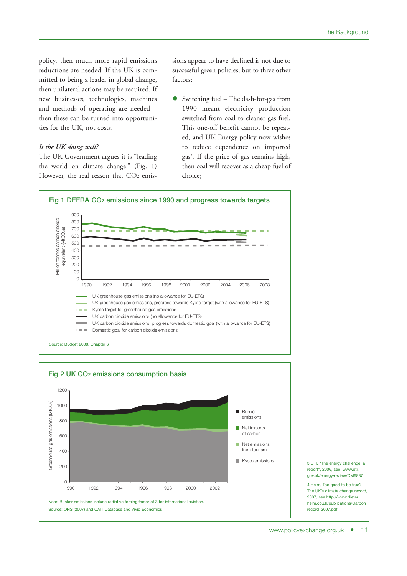policy, then much more rapid emissions reductions are needed. If the UK is committed to being a leader in global change, then unilateral actions may be required. If new businesses, technologies, machines and methods of operating are needed – then these can be turned into opportunities for the UK, not costs.

#### *Is the UK doing well?*

The UK Government argues it is "leading the world on climate change." (Fig. 1) However, the real reason that CO<sub>2</sub> emissions appear to have declined is not due to successful green policies, but to three other factors:

 Switching fuel – The dash-for-gas from 1990 meant electricity production switched from coal to cleaner gas fuel. This one-off benefit cannot be repeated, and UK Energy policy now wishes to reduce dependence on imported gas 3 . If the price of gas remains high, then coal will recover as a cheap fuel of choice;







4 Helm, Too good to be true? The UK's climate change record, 2007, see http://www.dieter helm.co.uk/publications/Carbon\_ record\_2007.pdf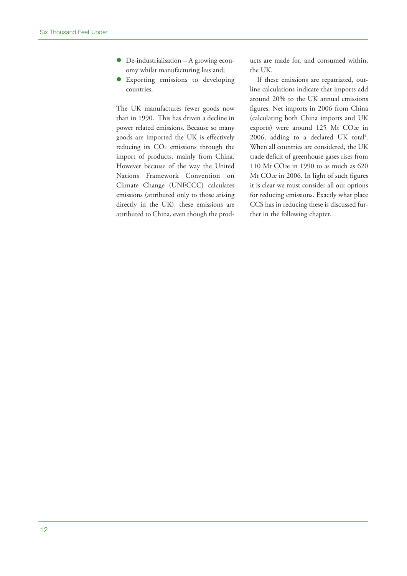- De-industrialisation A growing economy whilst manufacturing less and;
- Exporting emissions to developing countries.

The UK manufactures fewer goods now than in 1990. This has driven a decline in power related emissions. Because so many goods are imported the UK is effectively reducing its CO2 emissions through the import of products, mainly from China. However because of the way the United Nations Framework Convention on Climate Change (UNFCCC) calculates emissions (attributed only to those arising directly in the UK), these emissions are attributed to China, even though the products are made for, and consumed within, the UK.

If these emissions are repatriated, outline calculations indicate that imports add around 20% to the UK annual emissions figures. Net imports in 2006 from China (calculating both China imports and UK exports) were around 125 Mt CO2e in 2006, adding to a declared UK total 4 . When all countries are considered, the UK trade deficit of greenhouse gases rises from 110 Mt CO2e in 1990 to as much as 620 Mt CO2e in 2006. In light of such figures it is clear we must consider all our options for reducing emissions. Exactly what place CCS has in reducing these is discussed further in the following chapter.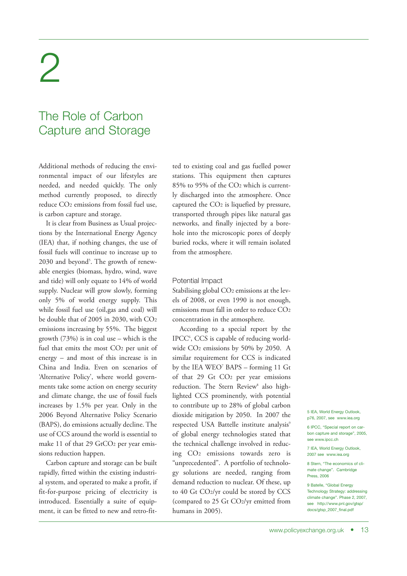## 2

## The Role of Carbon Capture and Storage

Additional methods of reducing the environmental impact of our lifestyles are needed, and needed quickly. The only method currently proposed, to directly reduce CO2 emissions from fossil fuel use, is carbon capture and storage.

It is clear from Business as Usual projections by the International Energy Agency (IEA) that, if nothing changes, the use of fossil fuels will continue to increase up to 2030 and beyond<sup>5</sup>. The growth of renewable energies (biomass, hydro, wind, wave and tide) will only equate to 14% of world supply. Nuclear will grow slowly, forming only 5% of world energy supply. This while fossil fuel use (oil,gas and coal) will be double that of 2005 in 2030, with CO2 emissions increasing by 55%. The biggest growth (73%) is in coal use – which is the fuel that emits the most CO2 per unit of energy – and most of this increase is in China and India. Even on scenarios of 'Alternative Policy', where world governments take some action on energy security and climate change, the use of fossil fuels increases by 1.5% per year. Only in the 2006 Beyond Alternative Policy Scenario (BAPS), do emissions actually decline. The use of CCS around the world is essential to make 11 of that 29 GtCO<sub>2</sub> per year emissions reduction happen.

Carbon capture and storage can be built rapidly, fitted within the existing industrial system, and operated to make a profit, if fit-for-purpose pricing of electricity is introduced. Essentially a suite of equipment, it can be fitted to new and retro-fitted to existing coal and gas fuelled power stations. This equipment then captures 85% to 95% of the CO2 which is currently discharged into the atmosphere. Once captured the CO2 is liquefied by pressure, transported through pipes like natural gas networks, and finally injected by a borehole into the microscopic pores of deeply buried rocks, where it will remain isolated from the atmosphere.

#### Potential Impact

Stabilising global CO<sub>2</sub> emissions at the levels of 2008, or even 1990 is not enough, emissions must fall in order to reduce CO2 concentration in the atmosphere.

According to a special report by the IPCC<sup>6</sup>, CCS is capable of reducing worldwide CO2 emissions by 50% by 2050. A similar requirement for CCS is indicated by the IEA WEO<sup>7</sup> BAPS – forming 11 Gt of that 29 Gt CO2 per year emissions reduction. The Stern Review<sup>8</sup> also highlighted CCS prominently, with potential to contribute up to 28% of global carbon dioxide mitigation by 2050. In 2007 the respected USA Battelle institute analysis<sup>9</sup> of global energy technologies stated that the technical challenge involved in reducing CO2 emissions towards zero is "unprecedented". A portfolio of technology solutions are needed, ranging from demand reduction to nuclear. Of these, up to 40 Gt CO2/yr could be stored by CCS (compared to 25 Gt CO2/yr emitted from humans in 2005).

5 IEA, World Energy Outlook, p76, 2007, see www.iea.org

6 IPCC, "Special report on carbon capture and storage", 2005, see www.ipcc.ch

7 IEA, World Energy Outlook, 2007 see www.iea.org

8 Stern, "The economics of climate change". Cambridge Press, 2006

9 Batelle, "Global Energy Technology Strategy: addressing climate change". Phase 2, 2007, see http://www.pnl.gov/gtsp/ docs/gtsp\_2007\_final.pdf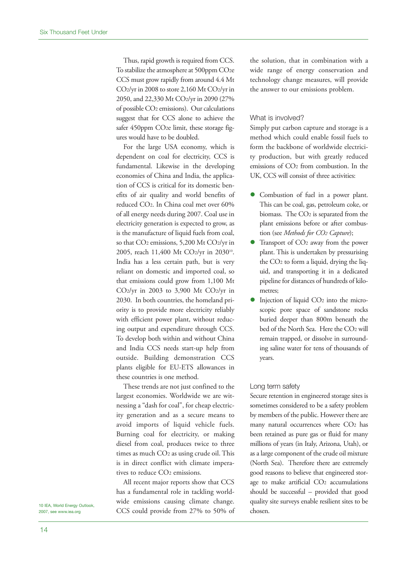Thus, rapid growth is required from CCS. To stabilize the atmosphere at 500ppm CO<sub>2</sub>e CCS must grow rapidly from around 4.4 Mt CO2/yr in 2008 to store 2,160 Mt CO2/yr in 2050, and 22,330 Mt CO2/yr in 2090 (27% of possible CO2 emissions). Our calculations suggest that for CCS alone to achieve the safer 450ppm CO<sub>2</sub>e limit, these storage figures would have to be doubled.

For the large USA economy, which is dependent on coal for electricity, CCS is fundamental. Likewise in the developing economies of China and India, the application of CCS is critical for its domestic benefits of air quality and world benefits of reduced CO2. In China coal met over 60% of all energy needs during 2007. Coal use in electricity generation is expected to grow, as is the manufacture of liquid fuels from coal, so that CO2 emissions, 5,200 Mt CO2/yr in 2005, reach 11,400 Mt CO2/yr in 2030<sup>10</sup>. India has a less certain path, but is very reliant on domestic and imported coal, so that emissions could grow from 1,100 Mt CO2/yr in 2003 to 3,900 Mt CO2/yr in 2030. In both countries, the homeland priority is to provide more electricity reliably with efficient power plant, without reducing output and expenditure through CCS. To develop both within and without China and India CCS needs start-up help from outside. Building demonstration CCS plants eligible for EU-ETS allowances in these countries is one method.

These trends are not just confined to the largest economies. Worldwide we are witnessing a "dash for coal", for cheap electricity generation and as a secure means to avoid imports of liquid vehicle fuels. Burning coal for electricity, or making diesel from coal, produces twice to three times as much CO2 as using crude oil. This is in direct conflict with climate imperatives to reduce CO2 emissions.

All recent major reports show that CCS has a fundamental role in tackling worldwide emissions causing climate change. CCS could provide from 27% to 50% of chosen. <sup>10</sup> IEA, World Energy Outlook,

the solution, that in combination with a wide range of energy conservation and technology change measures, will provide the answer to our emissions problem.

#### What is involved?

Simply put carbon capture and storage is a method which could enable fossil fuels to form the backbone of worldwide electricity production, but with greatly reduced emissions of CO2 from combustion. In the UK, CCS will consist of three activities:

- Combustion of fuel in a power plant. This can be coal, gas, petroleum coke, or biomass. The CO2 is separated from the plant emissions before or after combustion (see *Methods for CO2 Capture*);
- Transport of CO2 away from the power plant. This is undertaken by pressurising the CO2 to form a liquid, drying the liquid, and transporting it in a dedicated pipeline for distances of hundreds of kilometres;
- Injection of liquid CO<sub>2</sub> into the microscopic pore space of sandstone rocks buried deeper than 800m beneath the bed of the North Sea. Here the CO2 will remain trapped, or dissolve in surrounding saline water for tens of thousands of years.

#### Long term safety

Secure retention in engineered storage sites is sometimes considered to be a safety problem by members of the public. However there are many natural occurrences where CO2 has been retained as pure gas or fluid for many millions of years (in Italy, Arizona, Utah), or as a large component of the crude oil mixture (North Sea). Therefore there are extremely good reasons to believe that engineered storage to make artificial CO2 accumulations should be successful – provided that good quality site surveys enable resilient sites to be

2007, see www.iea.org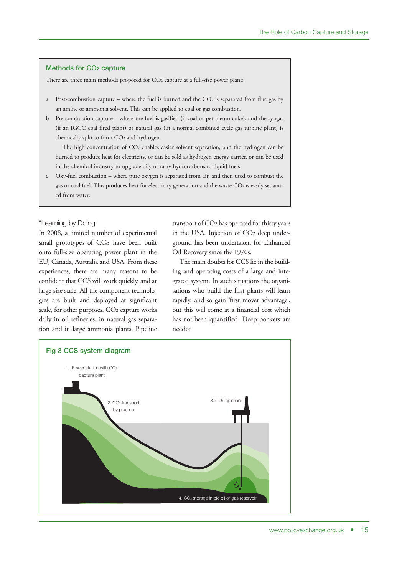#### **Methods for CO2 capture**

There are three main methods proposed for CO<sub>2</sub> capture at a full-size power plant:

- a Post-combustion capture where the fuel is burned and the  $CO<sub>2</sub>$  is separated from flue gas by an amine or ammonia solvent. This can be applied to coal or gas combustion.
- b Pre-combustion capture where the fuel is gasified (if coal or petroleum coke), and the syngas (if an IGCC coal fired plant) or natural gas (in a normal combined cycle gas turbine plant) is chemically split to form CO<sub>2</sub> and hydrogen.

The high concentration of CO<sub>2</sub> enables easier solvent separation, and the hydrogen can be burned to produce heat for electricity, or can be sold as hydrogen energy carrier, or can be used in the chemical industry to upgrade oily or tarry hydrocarbons to liquid fuels.

c Oxy-fuel combustion – where pure oxygen is separated from air, and then used to combust the gas or coal fuel. This produces heat for electricity generation and the waste CO<sub>2</sub> is easily separated from water.

#### "Learning by Doing"

In 2008, a limited number of experimental small prototypes of CCS have been built onto full-size operating power plant in the EU, Canada, Australia and USA. From these experiences, there are many reasons to be confident that CCS will work quickly, and at large-size scale. All the component technologies are built and deployed at significant scale, for other purposes. CO2 capture works daily in oil refineries, in natural gas separation and in large ammonia plants. Pipeline transport of  $CO<sub>2</sub>$  has operated for thirty years in the USA. Injection of CO2 deep underground has been undertaken for Enhanced Oil Recovery since the 1970s.

The main doubts for CCS lie in the building and operating costs of a large and integrated system. In such situations the organisations who build the first plants will learn rapidly, and so gain 'first mover advantage', but this will come at a financial cost which has not been quantified. Deep pockets are needed.

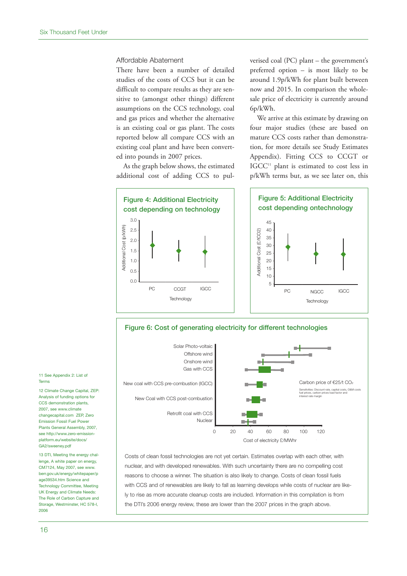#### Affordable Abatement

There have been a number of detailed studies of the costs of CCS but it can be difficult to compare results as they are sensitive to (amongst other things) different assumptions on the CCS technology, coal and gas prices and whether the alternative is an existing coal or gas plant. The costs reported below all compare CCS with an existing coal plant and have been converted into pounds in 2007 prices.

As the graph below shows, the estimated additional cost of adding CCS to pulverised coal (PC) plant – the government's preferred option – is most likely to be around 1.9p/kWh for plant built between now and 2015. In comparison the wholesale price of electricity is currently around 6p/kWh.

We arrive at this estimate by drawing on four major studies (these are based on mature CCS costs rather than demonstration, for more details see Study Estimates Appendix). Fitting CCS to CCGT or IGCC<sup>11</sup> plant is estimated to cost less in p/kWh terms but, as we see later on, this





Costs of clean fossil technologies are not yet certain. Estimates overlap with each other, with nuclear, and with developed renewables. With such uncertainty there are no compelling cost reasons to choose a winner. The situation is also likely to change. Costs of clean fossil fuels with CCS and of renewables are likely to fall as learning develops while costs of nuclear are likely to rise as more accurate cleanup costs are included. Information in this compilation is from the DTI's 2006 energy review, these are lower than the 2007 prices in the graph above.

11 See Appendix 2: List of Terms

12 Climate Change Capital, ZEP: Analysis of funding options for CCS demonstration plants, 2007, see www.climate changecapital.com ZEP, Zero Emission Fossil Fuel Power Plants General Assembly, 2007, see http://www.zero-emissionplatform.eu/website/docs/ GA2/sweeney.pdf

13 DTI, Meeting the energy challenge, A white paper on energy, CM7124, May 2007, see www. berr.gov.uk/energy/whitepaper/p age39534.htm Science and Technology Committee, Meeting UK Energy and Climate Needs: The Role of Carbon Capture and Storage, Westminster, HC 578-I, 2006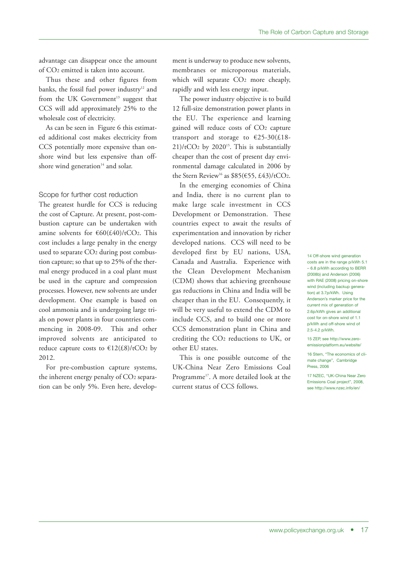advantage can disappear once the amount of CO2 emitted is taken into account.

Thus these and other figures from banks, the fossil fuel power industry<sup>12</sup> and from the UK Government <sup>13</sup> suggest that CCS will add approximately 25% to the wholesale cost of electricity.

As can be seen in Figure 6 this estimated additional cost makes electricity from CCS potentially more expensive than onshore wind but less expensive than offshore wind generation $14$  and solar.

#### Scope for further cost reduction

The greatest hurdle for CCS is reducing the cost of Capture. At present, post-combustion capture can be undertaken with amine solvents for  $\epsilon$ 60(£40)/tCO2. This cost includes a large penalty in the energy used to separate CO2 during post combustion capture; so that up to 25% of the thermal energy produced in a coal plant must be used in the capture and compression processes. However, new solvents are under development. One example is based on cool ammonia and is undergoing large trials on power plants in four countries commencing in 2008-09. This and other improved solvents are anticipated to reduce capture costs to  $\text{£}12(\text{£}8)/\text{tCO}_2$  by 2012.

For pre-combustion capture systems, the inherent energy penalty of CO2 separation can be only 5%. Even here, development is underway to produce new solvents, membranes or microporous materials, which will separate CO<sub>2</sub> more cheaply, rapidly and with less energy input.

The power industry objective is to build 12 full-size demonstration power plants in the EU. The experience and learning gained will reduce costs of CO2 capture transport and storage to  $\epsilon$ 25-30(£18- $21$ /tCO<sub>2</sub> by 2020<sup>15</sup>. This is substantially cheaper than the cost of present day environmental damage calculated in 2006 by the Stern Review<sup>16</sup> as  $$85(\text{€55}, \text{£43})/tCO<sub>2</sub>$ .

In the emerging economies of China and India, there is no current plan to make large scale investment in CCS Development or Demonstration. These countries expect to await the results of experimentation and innovation by richer developed nations. CCS will need to be developed first by EU nations, USA, Canada and Australia. Experience with the Clean Development Mechanism (CDM) shows that achieving greenhouse gas reductions in China and India will be cheaper than in the EU. Consequently, it will be very useful to extend the CDM to include CCS, and to build one or more CCS demonstration plant in China and crediting the CO2 reductions to UK, or other EU states.

This is one possible outcome of the UK-China Near Zero Emissions Coal Programme<sup>17</sup>. A more detailed look at the current status of CCS follows.

14 Off-shore wind generation costs are in the range p/kWh 5.1 – 6.8 p/kWh according to BERR (2008b) and Anderson (2006) with RAE (2008) pricing on-shore wind (including backup generation) at 3.7p/kWh. Using Anderson's marker price for the current mix of generation of 2.6p/kWh gives an additional cost for on-shore wind of 1.1 p/kWh and off-shore wind of 2.5-4.2 p/kWh.

15 ZEP, see http://www.zeroemissionplatform.eu/website/

16 Stern, "The economics of climate change", Cambridge Press, 2006

17 NZEC, "UK-China Near Zero Emissions Coal project", 2008, see http://www.nzec.info/en/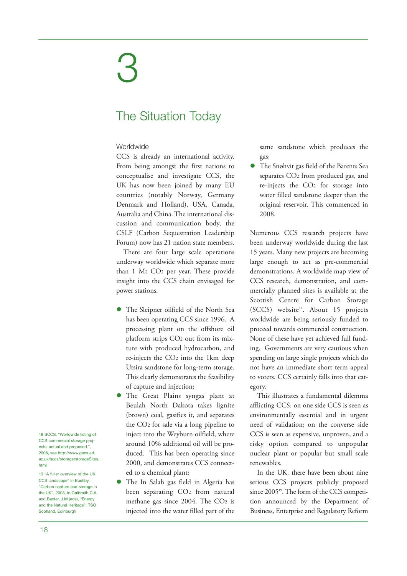## 3

## The Situation Today

#### Worldwide

CCS is already an international activity. From being amongst the first nations to conceptualise and investigate CCS, the UK has now been joined by many EU countries (notably Norway, Germany Denmark and Holland), USA, Canada, Australia and China. The international discussion and communication body, the CSLF (Carbon Sequestration Leadership Forum) now has 21 nation state members.

There are four large scale operations underway worldwide which separate more than 1 Mt CO2 per year. These provide insight into the CCS chain envisaged for power stations.

- The Sleipner oilfield of the North Sea has been operating CCS since 1996. A processing plant on the offshore oil platform strips CO2 out from its mixture with produced hydrocarbon, and re-injects the CO2 into the 1km deep Utsira sandstone for long-term storage. This clearly demonstrates the feasibility of capture and injection;
- The Great Plains syngas plant at Beulah North Dakota takes lignite (brown) coal, gasifies it, and separates the CO2 for sale via a long pipeline to inject into the Weyburn oilfield, where around 10% additional oil will be produced. This has been operating since 2000, and demonstrates CCS connected to a chemical plant;
- The In Salah gas field in Algeria has been separating CO2 from natural methane gas since  $2004$ . The  $CO<sub>2</sub>$  is injected into the water filled part of the

same sandstone which produces the gas;

 The Snøhvit gas field of the Barents Sea separates CO2 from produced gas, and re-injects the CO2 for storage into water filled sandstone deeper than the original reservoir. This commenced in 2008.

Numerous CCS research projects have been underway worldwide during the last 15 years. Many new projects are becoming large enough to act as pre-commercial demonstrations. A worldwide map view of CCS research, demonstration, and commercially planned sites is available at the Scottish Centre for Carbon Storage (SCCS) website<sup>18</sup>. About 15 projects worldwide are being seriously funded to proceed towards commercial construction. None of these have yet achieved full funding. Governments are very cautious when spending on large single projects which do not have an immediate short term appeal to voters. CCS certainly falls into that category.

This illustrates a fundamental dilemma afflicting CCS: on one side CCS is seen as environmentally essential and in urgent need of validation; on the converse side CCS is seen as expensive, unproven, and a risky option compared to unpopular nuclear plant or popular but small scale renewables.

In the UK, there have been about nine serious CCS projects publicly proposed since 2005<sup>19</sup>. The form of the CCS competition announced by the Department of Business, Enterprise and Regulatory Reform

18 SCCS, "Worldwide listing of CCS commercial storage projects: actual and proposed.", 2008, see http://www.geos.ed. ac.uk/sccs/storage/storageSites. html

19 "A fuller overview of the UK CCS landscape" in Bushby, "Carbon capture and storage in the UK", 2008, In Galbraith C.A. and Baxter, J.M.(eds), "Energy and the Natural Heritage", TSO Scotland, Edinburgh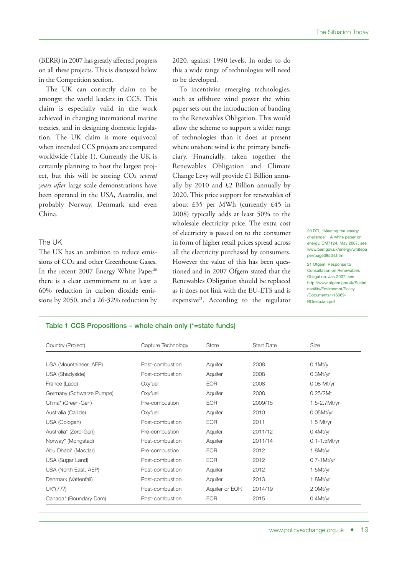(BERR) in 2007 has greatly affected progress on all these projects. This is discussed below in the Competition section.

The UK can correctly claim to be amongst the world leaders in CCS. This claim is especially valid in the work achieved in changing international marine treaties, and in designing domestic legislation. The UK claim is more equivocal when intended CCS projects are compared worldwide (Table 1). Currently the UK is certainly planning to host the largest project, but this will be storing CO2 *several years after* large scale demonstrations have been operated in the USA, Australia, and probably Norway, Denmark and even China.

#### The UK

The UK has an ambition to reduce emissions of CO2 and other Greenhouse Gases. In the recent 2007 Energy White Paper 20 there is a clear commitment to at least a 60% reduction in carbon dioxide emissions by 2050, and a 26-32% reduction by 2020, against 1990 levels. In order to do this a wide range of technologies will need to be developed.

To incentivise emerging technologies, such as offshore wind power the white paper sets out the introduction of banding to the Renewables Obligation. This would allow the scheme to support a wider range of technologies than it does at present where onshore wind is the primary beneficiary. Financially, taken together the Renewables Obligation and Climate Change Levy will provide £1 Billion annually by 2010 and £2 Billion annually by 2020. This price support for renewables of about £35 per MWh (currently £45 in 2008) typically adds at least 50% to the wholesale electricity price. The extra cost of electricity is passed on to the consumer in form of higher retail prices spread across all the electricity purchased by consumers. However the value of this has been questioned and in 2007 Ofgem stated that the Renewables Obligation should be replaced as it does not link with the EU-ETS and is expensive<sup>21</sup>. According to the regulator

20 DTI, "Meeting the energy challenge", A white paper on energy, CM7124, May 2007, see www.berr.gov.uk/energy/whitepa per/page39534.htm

21 Ofgem, Response to Consultation on Renewables Obligation, Jan 2007, see http://www.ofgem.gov.uk/Sustai nability/Environmnt/Policy /Documents1/16669- ROrespJan.pdf

#### **Table 1 CCS Propositions – whole chain only (\*=state funds)**

| Country (Project)        | Capture Technology | Store          | <b>Start Date</b> | Size              |
|--------------------------|--------------------|----------------|-------------------|-------------------|
|                          |                    |                |                   |                   |
| USA (Mountaineer, AEP)   | Post-combustion    | Aquifer        | 2008              | $0.1$ Mt/ $\vee$  |
| USA (Shadyside)          | Post-combustion    | Aquifer        | 2008              | 0.3Mt/yr          |
| France (Lacq)            | Oxyfuel            | <b>EOR</b>     | 2008              | $0.08$ Mt/yr      |
| Germany (Schwarze Pumpe) | Oxyfuel            | Aquifer        | 2008              | 0.25/2Mt          |
| China* (Green-Gen)       | Pre-combustion     | <b>EOR</b>     | 2009/15           | 1.5-2.7Mt/yr      |
| Australia (Callide)      | Oxyfuel            | Aquifer        | 2010              | $0.05$ Mt/yr      |
| USA (Oologah)            | Post-combustion    | <b>EOR</b>     | 2011              | $1.5$ Mt/yr       |
| Australia* (Zero-Gen)    | Pre-combustion     | Aquifer        | 2011/12           | 0.4Mt/yr          |
| Norway* (Mongstad)       | Post-combustion    | Aquifer        | 2011/14           | $0.1 - 1.5$ Mt/yr |
| Abu Dhabi* (Masdar)      | Pre-combustion     | <b>EOR</b>     | 2012              | 1.8Mt/yr          |
| USA (Sugar Land)         | Post-combustion    | <b>EOR</b>     | 2012              | $0.7 - 1$ Mt/yr   |
| USA (North East, AEP)    | Post-combustion    | Aquifer        | 2012              | 1.5Mt/yr          |
| Denmark (Vattenfall)     | Post-combustion    | Aquifer        | 2013              | 1.8Mt/yr          |
| UK*(???)                 | Post-combustion    | Aquifer or EOR | 2014/19           | 2.0Mt/yr          |
| Canada* (Boundary Dam)   | Post-combustion    | <b>EOR</b>     | 2015              | 0.4Mt/yr          |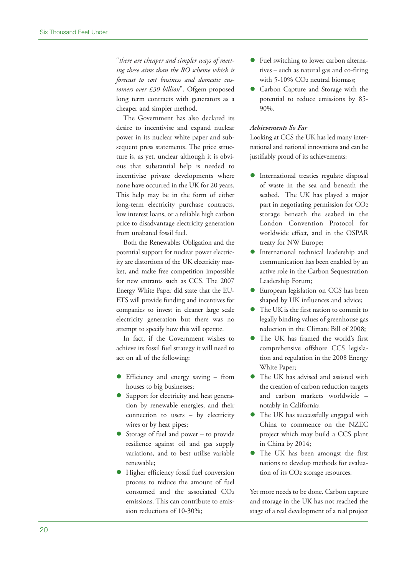"*there are cheaper and simpler ways of meeting these aims than the RO scheme which is forecast to cost business and domestic customers over £30 billion*". Ofgem proposed long term contracts with generators as a cheaper and simpler method.

The Government has also declared its desire to incentivise and expand nuclear power in its nuclear white paper and subsequent press statements. The price structure is, as yet, unclear although it is obvious that substantial help is needed to incentivise private developments where none have occurred in the UK for 20 years. This help may be in the form of either long-term electricity purchase contracts, low interest loans, or a reliable high carbon price to disadvantage electricity generation from unabated fossil fuel.

Both the Renewables Obligation and the potential support for nuclear power electricity are distortions of the UK electricity market, and make free competition impossible for new entrants such as CCS. The 2007 Energy White Paper did state that the EU-ETS will provide funding and incentives for companies to invest in cleaner large scale electricity generation but there was no attempt to specify how this will operate.

In fact, if the Government wishes to achieve its fossil fuel strategy it will need to act on all of the following:

- Efficiency and energy saving from houses to big businesses;
- Support for electricity and heat generation by renewable energies, and their connection to users – by electricity wires or by heat pipes;
- Storage of fuel and power to provide resilience against oil and gas supply variations, and to best utilise variable renewable;
- Higher efficiency fossil fuel conversion process to reduce the amount of fuel consumed and the associated CO2 emissions. This can contribute to emission reductions of 10-30%;
- Fuel switching to lower carbon alternatives – such as natural gas and co-firing with 5-10% CO2 neutral biomass;
- Carbon Capture and Storage with the potential to reduce emissions by 85- 90%.

#### *Achievements So Far*

Looking at CCS the UK has led many international and national innovations and can be justifiably proud of its achievements:

- International treaties regulate disposal of waste in the sea and beneath the seabed. The UK has played a major part in negotiating permission for CO2 storage beneath the seabed in the London Convention Protocol for worldwide effect, and in the OSPAR treaty for NW Europe;
- International technical leadership and communication has been enabled by an active role in the Carbon Sequestration Leadership Forum;
- European legislation on CCS has been shaped by UK influences and advice;
- The UK is the first nation to commit to legally binding values of greenhouse gas reduction in the Climate Bill of 2008;
- The UK has framed the world's first comprehensive offshore CCS legislation and regulation in the 2008 Energy White Paper;
- The UK has advised and assisted with the creation of carbon reduction targets and carbon markets worldwide – notably in California;
- The UK has successfully engaged with China to commence on the NZEC project which may build a CCS plant in China by 2014;
- The UK has been amongst the first nations to develop methods for evaluation of its CO2 storage resources.

Yet more needs to be done. Carbon capture and storage in the UK has not reached the stage of a real development of a real project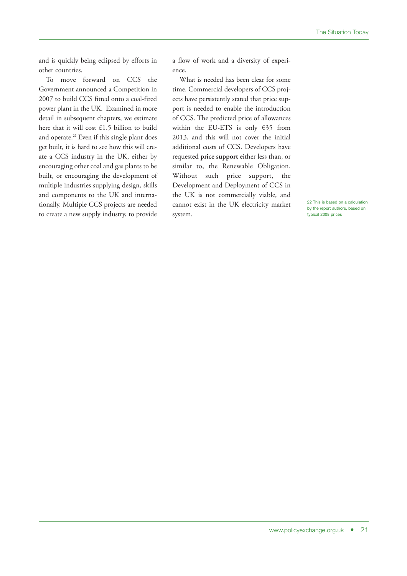and is quickly being eclipsed by efforts in other countries.

To move forward on CCS the Government announced a Competition in 2007 to build CCS fitted onto a coal-fired power plant in the UK. Examined in more detail in subsequent chapters, we estimate here that it will cost £1.5 billion to build and operate. <sup>22</sup> Even if this single plant does get built, it is hard to see how this will create a CCS industry in the UK, either by encouraging other coal and gas plants to be built, or encouraging the development of multiple industries supplying design, skills and components to the UK and internationally. Multiple CCS projects are needed to create a new supply industry, to provide

a flow of work and a diversity of experience.

What is needed has been clear for some time. Commercial developers of CCS projects have persistently stated that price support is needed to enable the introduction of CCS. The predicted price of allowances within the EU-ETS is only €35 from 2013, and this will not cover the initial additional costs of CCS. Developers have requested **price support** either less than, or similar to, the Renewable Obligation. Without such price support, the Development and Deployment of CCS in the UK is not commercially viable, and cannot exist in the UK electricity market system.

22 This is based on a calculation by the report authors, based on typical 2008 prices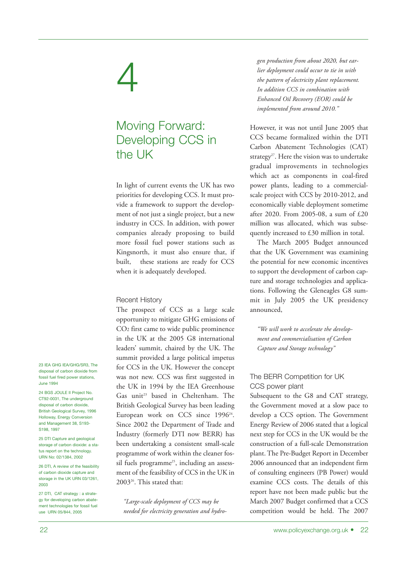## 4

## Moving Forward: Developing CCS in the UK

In light of current events the UK has two priorities for developing CCS. It must provide a framework to support the development of not just a single project, but a new industry in CCS. In addition, with power companies already proposing to build more fossil fuel power stations such as Kingsnorth, it must also ensure that, if built, these stations are ready for CCS when it is adequately developed.

#### Recent History

The prospect of CCS as a large scale opportunity to mitigate GHG emissions of CO2 first came to wide public prominence in the UK at the 2005 G8 international leaders' summit, chaired by the UK. The summit provided a large political impetus for CCS in the UK. However the concept was not new. CCS was first suggested in the UK in 1994 by the IEA Greenhouse Gas unit <sup>23</sup> based in Cheltenham. The British Geological Survey has been leading European work on CCS since 1996<sup>24</sup>. Since 2002 the Department of Trade and Industry (formerly DTI now BERR) has been undertaking a consistent small-scale programme of work within the cleaner fossil fuels programme<sup>25</sup>, including an assessment of the feasibility of CCS in the UK in 200326 . This stated that:

*"Large-scale deployment of CCS may be needed for electricity generation and hydro-* *gen production from about 2020, but earlier deployment could occur to tie in with the pattern of electricity plant replacement. In addition CCS in combination with Enhanced Oil Recovery (EOR) could be implemented from around 2010."*

However, it was not until June 2005 that CCS became formalized within the DTI Carbon Abatement Technologies (CAT) strategy<sup>27</sup>. Here the vision was to undertake gradual improvements in technologies which act as components in coal-fired power plants, leading to a commercialscale project with CCS by 2010-2012, and economically viable deployment sometime after 2020. From 2005-08, a sum of £20 million was allocated, which was subsequently increased to £30 million in total.

The March 2005 Budget announced that the UK Government was examining the potential for new economic incentives to support the development of carbon capture and storage technologies and applications. Following the Gleneagles G8 summit in July 2005 the UK presidency announced,

*"We will work to accelerate the development and commercialisation of Carbon Capture and Storage technology"*

#### The BERR Competition for UK CCS power plant

Subsequent to the G8 and CAT strategy, the Government moved at a slow pace to develop a CCS option. The Government Energy Review of 2006 stated that a logical next step for CCS in the UK would be the construction of a full-scale Demonstration plant. The Pre-Budget Report in December 2006 announced that an independent firm of consulting engineers (PB Power) would examine CCS costs. The details of this report have not been made public but the March 2007 Budget confirmed that a CCS competition would be held. The 2007

23 IEA GHG IEA/GHG/SR3, The disposal of carbon dioxide from fossil fuel fired power stations, June 1994

24 BGS JOULE II Project No. CT92-0031, The underground disposal of carbon dioxide, British Geological Survey, 1996 Holloway, Energy Conversion and Management 38, S193- S198, 1997

25 DTI Capture and geological storage of carbon dioxide: a status report on the technology. URN No: 02/1384, 2002

26 DTI, A review of the feasibility of carbon dioxide capture and storage in the UK URN 03/1261, 2003

27 DTI, CAT strategy : a strategy for developing carbon abatement technologies for fossil fuel use URN 05/844, 2005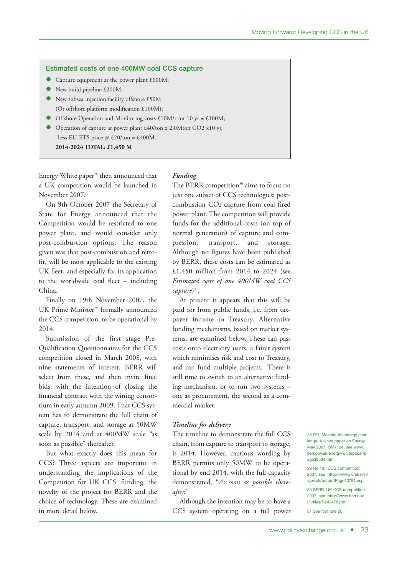#### **Estimated costs of one 400MW coal CCS capture**

- Capture equipment at the power plant £600M;
- New build pipeline £200M;
- New subsea injection facility offshore £50M (Or offshore platform modification £100M);
- Offshore Operation and Monitoring costs £10M/r for 10 yr = £100M;
- Operation of capture at power plant £40/ton x 2.0Mton CO2 x10 yr,
- Less EU-ETS price  $\omega$  £20/ton = £400M. **2014-2024 TOTAL: £1,450 M**

Energy White paper <sup>28</sup> then announced that a UK competition would be launched in November 2007.

On 9th October 2007 the Secretary of State for Energy announced that the Competition would be restricted to one power plant, and would consider only post-combustion options. The reason given was that post-combustion and retrofit, will be most applicable to the existing UK fleet, and especially for its application to the worldwide coal fleet – including China.

Finally on 19th November 2007, the UK Prime Minister <sup>29</sup> formally announced the CCS competition, to be operational by 2014.

Submission of the first stage Pre-Qualification Questionnaires for the CCS competition closed in March 2008, with nine statements of interest. BERR will select from these, and then invite final bids, with the intention of closing the financial contract with the wining consortium in early autumn 2009. That CCS system has to demonstrate the full chain of capture, transport, and storage at 50MW scale by 2014 and at 400MW scale "as soon as possible" thereafter.

But what exactly does this mean for CCS? Three aspects are important in understanding the implications of the Competition for UK CCS: funding, the novelty of the project for BERR and the choice of technology. These are examined in more detail below.

#### *Funding*

The BERR competition<sup>30</sup> aims to focus on just one subset of CCS technologies: postcombustion CO2 capture from coal fired power plant. The competition will provide funds for the additional costs (on top of normal generation) of capture and compression, transport, and storage. Although no figures have been published by BERR, these costs can be estimated as £1,450 million from 2014 to 2024 (see *Estimated costs of one 400MW coal CCS capture*) 31 .

At present it appears that this will be paid for from public funds, i.e. from taxpayer income to Treasury. Alternative funding mechanisms, based on market systems, are examined below. These can pass costs onto electricity users, a fairer system which minimises risk and cost to Treasury, and can fund multiple projects. There is still time to switch to an alternative funding mechanism, or to run two systems – one as procurement, the second as a commercial market.

#### *Timeline for delivery*

The timeline to demonstrate the full CCS chain, from capture to transport to storage, is 2014. However, cautious wording by BERR permits only 50MW to be operational by end 2014, with the full capacity demonstrated, "*As soon as possible thereafter.*"

Although the intention may be to have a CCS system operating on a full power 28 DTI, Meeting the energy challenge, A white paper on Energy. May 2007 CM7124, see www. berr.gov.uk/energy/whitepaper/p age39534.htm

29 No 10, CCS competition, 2007, see http://www.number10 .gov.uk/output/Page13791.asp

30 BERR, UK CCS competition, 2007, see http://www.berr.gov. uk/files/file42478.pdf

31 See footnote 20.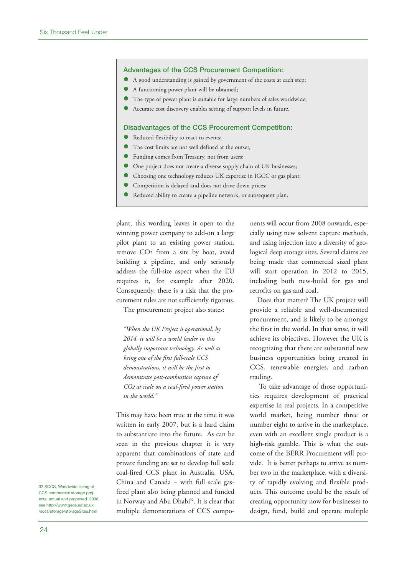#### **Advantages of the CCS Procurement Competition:**

- A good understanding is gained by government of the costs at each step;
- A functioning power plant will be obtained;
- The type of power plant is suitable for large numbers of sales worldwide;
- Accurate cost discovery enables setting of support levels in future.

#### **Disadvantages of the CCS Procurement Competition:**

- Reduced flexibility to react to events;
- The cost limits are not well defined at the outset;
- Funding comes from Treasury, not from users;
- One project does not create a diverse supply chain of UK businesses;
- Choosing one technology reduces UK expertise in IGCC or gas plant;
- Competition is delayed and does not drive down prices;
- Reduced ability to create a pipeline network, or subsequent plan.

plant, this wording leaves it open to the winning power company to add-on a large pilot plant to an existing power station, remove CO2 from a site by boat, avoid building a pipeline, and only seriously address the full-size aspect when the EU requires it, for example after 2020. Consequently, there is a risk that the procurement rules are not sufficiently rigorous.

The procurement project also states:

*"When the UK Project is operational, by 2014, it will be a world leader in this globally important technology. As well as being one of the first full-scale CCS demonstrations, it will be the first to demonstrate post-combustion capture of CO2 at scale on a coal-fired power station in the world."*

This may have been true at the time it was written in early 2007, but is a hard claim to substantiate into the future. As can be seen in the previous chapter it is very apparent that combinations of state and private funding are set to develop full scale coal-fired CCS plant in Australia, USA, China and Canada – with full scale gasfired plant also being planned and funded in Norway and Abu Dhabi 32 . It is clear that multiple demonstrations of CCS components will occur from 2008 onwards, especially using new solvent capture methods, and using injection into a diversity of geological deep storage sites. Several claims are being made that commercial sized plant will start operation in 2012 to 2015, including both new-build for gas and retrofits on gas and coal.

Does that matter? The UK project will provide a reliable and well-documented procurement, and is likely to be amongst the first in the world. In that sense, it will achieve its objectives. However the UK is recognizing that there are substantial new business opportunities being created in CCS, renewable energies, and carbon trading.

To take advantage of those opportunities requires development of practical expertise in real projects. In a competitive world market, being number three or number eight to arrive in the marketplace, even with an excellent single product is a high-risk gamble. This is what the outcome of the BERR Procurement will provide. It is better perhaps to arrive as number two in the marketplace, with a diversity of rapidly evolving and flexible products. This outcome could be the result of creating opportunity now for businesses to design, fund, build and operate multiple

32 SCCS, Worldwide listing of CCS commercial storage projects: actual and proposed. 2008, see http://www.geos.ed.ac.uk /sccs/storage/storageSites.html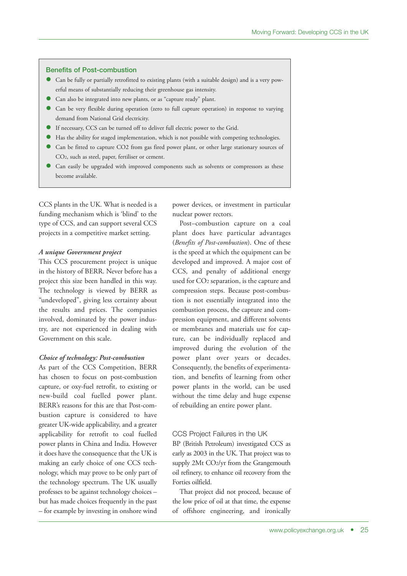#### **Benefits of Post-combustion**

- Can be fully or partially retrofitted to existing plants (with a suitable design) and is a very powerful means of substantially reducing their greenhouse gas intensity.
- Can also be integrated into new plants, or as "capture ready" plant.
- Can be very flexible during operation (zero to full capture operation) in response to varying demand from National Grid electricity.
- If necessary, CCS can be turned off to deliver full electric power to the Grid.
- Has the ability for staged implementation, which is not possible with competing technologies.
- Can be fitted to capture CO2 from gas fired power plant, or other large stationary sources of CO2, such as steel, paper, fertiliser or cement.
- Can easily be upgraded with improved components such as solvents or compressors as these become available.

CCS plants in the UK. What is needed is a funding mechanism which is 'blind' to the type of CCS, and can support several CCS projects in a competitive market setting.

#### *A unique Government project*

This CCS procurement project is unique in the history of BERR. Never before has a project this size been handled in this way. The technology is viewed by BERR as "undeveloped", giving less certainty about the results and prices. The companies involved, dominated by the power industry, are not experienced in dealing with Government on this scale.

#### *Choice of technology: Post-combustion*

As part of the CCS Competition, BERR has chosen to focus on post-combustion capture, or oxy-fuel retrofit, to existing or new-build coal fuelled power plant. BERR's reasons for this are that Post-combustion capture is considered to have greater UK-wide applicability, and a greater applicability for retrofit to coal fuelled power plants in China and India. However it does have the consequence that the UK is making an early choice of one CCS technology, which may prove to be only part of the technology spectrum. The UK usually professes to be against technology choices – but has made choices frequently in the past – for example by investing in onshore wind

power devices, or investment in particular nuclear power rectors.

Post–combustion capture on a coal plant does have particular advantages (*Benefits of Post-combustion*). One of these is the speed at which the equipment can be developed and improved. A major cost of CCS, and penalty of additional energy used for CO2 separation, is the capture and compression steps. Because post-combustion is not essentially integrated into the combustion process, the capture and compression equipment, and different solvents or membranes and materials use for capture, can be individually replaced and improved during the evolution of the power plant over years or decades. Consequently, the benefits of experimentation, and benefits of learning from other power plants in the world, can be used without the time delay and huge expense of rebuilding an entire power plant.

#### CCS Project Failures in the UK

BP (British Petroleum) investigated CCS as early as 2003 in the UK. That project was to supply 2Mt CO2/yr from the Grangemouth oil refinery, to enhance oil recovery from the Forties oilfield.

That project did not proceed, because of the low price of oil at that time, the expense of offshore engineering, and ironically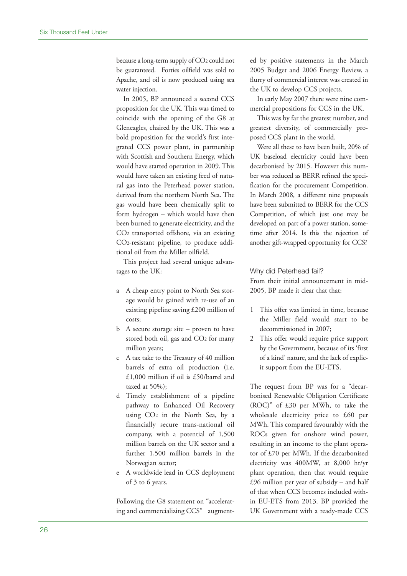because a long-term supply of CO2 could not be guaranteed. Forties oilfield was sold to Apache, and oil is now produced using sea water injection.

In 2005, BP announced a second CCS proposition for the UK. This was timed to coincide with the opening of the G8 at Gleneagles, chaired by the UK. This was a bold proposition for the world's first integrated CCS power plant, in partnership with Scottish and Southern Energy, which would have started operation in 2009. This would have taken an existing feed of natural gas into the Peterhead power station, derived from the northern North Sea. The gas would have been chemically split to form hydrogen – which would have then been burned to generate electricity, and the CO2 transported offshore, via an existing CO2-resistant pipeline, to produce additional oil from the Miller oilfield.

This project had several unique advantages to the UK:

- a A cheap entry point to North Sea storage would be gained with re-use of an existing pipeline saving £200 million of costs;
- b A secure storage site proven to have stored both oil, gas and CO2 for many million years;
- c A tax take to the Treasury of 40 million barrels of extra oil production (i.e. £1,000 million if oil is £50/barrel and taxed at 50%);
- d Timely establishment of a pipeline pathway to Enhanced Oil Recovery using CO2 in the North Sea, by a financially secure trans-national oil company, with a potential of 1,500 million barrels on the UK sector and a further 1,500 million barrels in the Norwegian sector;
- e A worldwide lead in CCS deployment of 3 to 6 years.

Following the G8 statement on "accelerating and commercializing CCS" augmented by positive statements in the March 2005 Budget and 2006 Energy Review, a flurry of commercial interest was created in the UK to develop CCS projects.

In early May 2007 there were nine commercial propositions for CCS in the UK.

This was by far the greatest number, and greatest diversity, of commercially proposed CCS plant in the world.

Were all these to have been built, 20% of UK baseload electricity could have been decarbonised by 2015. However this number was reduced as BERR refined the specification for the procurement Competition. In March 2008, a different nine proposals have been submitted to BERR for the CCS Competition, of which just one may be developed on part of a power station, sometime after 2014. Is this the rejection of another gift-wrapped opportunity for CCS?

#### Why did Peterhead fail?

From their initial announcement in mid-2005. BP made it clear that that:

- 1 This offer was limited in time, because the Miller field would start to be decommissioned in 2007;
- 2 This offer would require price support by the Government, because of its 'first of a kind' nature, and the lack of explicit support from the EU-ETS.

The request from BP was for a "decarbonised Renewable Obligation Certificate (ROC)" of £30 per MWh, to take the wholesale electricity price to £60 per MWh. This compared favourably with the ROCs given for onshore wind power, resulting in an income to the plant operator of £70 per MWh. If the decarbonised electricity was 400MW, at 8,000 hr/yr plant operation, then that would require  $£96$  million per year of subsidy – and half of that when CCS becomes included within EU-ETS from 2013. BP provided the UK Government with a ready-made CCS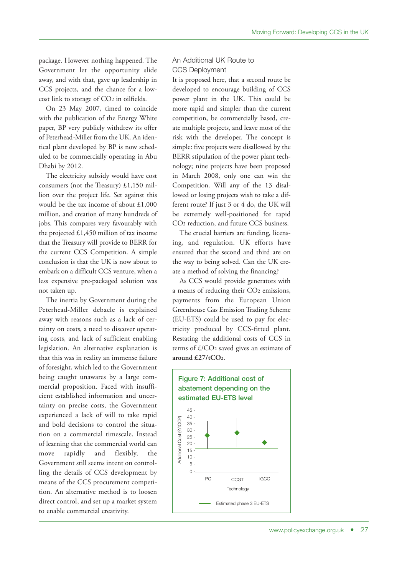package. However nothing happened. The Government let the opportunity slide away, and with that, gave up leadership in CCS projects, and the chance for a lowcost link to storage of CO2 in oilfields.

On 23 May 2007, timed to coincide with the publication of the Energy White paper, BP very publicly withdrew its offer of Peterhead-Miller from the UK. An identical plant developed by BP is now scheduled to be commercially operating in Abu Dhabi by 2012.

The electricity subsidy would have cost consumers (not the Treasury) £1,150 million over the project life. Set against this would be the tax income of about £1,000 million, and creation of many hundreds of jobs. This compares very favourably with the projected  $£1,450$  million of tax income that the Treasury will provide to BERR for the current CCS Competition. A simple conclusion is that the UK is now about to embark on a difficult CCS venture, when a less expensive pre-packaged solution was not taken up.

The inertia by Government during the Peterhead-Miller debacle is explained away with reasons such as a lack of certainty on costs, a need to discover operating costs, and lack of sufficient enabling legislation. An alternative explanation is that this was in reality an immense failure of foresight, which led to the Government being caught unawares by a large commercial proposition. Faced with insufficient established information and uncertainty on precise costs, the Government experienced a lack of will to take rapid and bold decisions to control the situation on a commercial timescale. Instead of learning that the commercial world can move rapidly and flexibly, the Government still seems intent on controlling the details of CCS development by means of the CCS procurement competition. An alternative method is to loosen direct control, and set up a market system to enable commercial creativity.

#### An Additional UK Route to CCS Deployment

It is proposed here, that a second route be developed to encourage building of CCS power plant in the UK. This could be more rapid and simpler than the current competition, be commercially based, create multiple projects, and leave most of the risk with the developer. The concept is simple: five projects were disallowed by the BERR stipulation of the power plant technology; nine projects have been proposed in March 2008, only one can win the Competition. Will any of the 13 disallowed or losing projects wish to take a different route? If just 3 or 4 do, the UK will be extremely well-positioned for rapid CO2 reduction, and future CCS business.

The crucial barriers are funding, licensing, and regulation. UK efforts have ensured that the second and third are on the way to being solved. Can the UK create a method of solving the financing?

As CCS would provide generators with a means of reducing their CO2 emissions, payments from the European Union Greenhouse Gas Emission Trading Scheme (EU-ETS) could be used to pay for electricity produced by CCS-fitted plant. Restating the additional costs of CCS in terms of £/CO2 saved gives an estimate of **around £27/tCO2**.

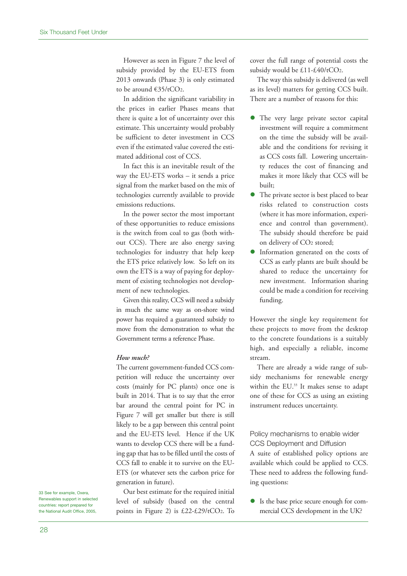However as seen in Figure 7 the level of subsidy provided by the EU-ETS from 2013 onwards (Phase 3) is only estimated to be around €35/tCO2.

In addition the significant variability in the prices in earlier Phases means that there is quite a lot of uncertainty over this estimate. This uncertainty would probably be sufficient to deter investment in CCS even if the estimated value covered the estimated additional cost of CCS.

In fact this is an inevitable result of the way the EU-ETS works – it sends a price signal from the market based on the mix of technologies currently available to provide emissions reductions.

In the power sector the most important of these opportunities to reduce emissions is the switch from coal to gas (both without CCS). There are also energy saving technologies for industry that help keep the ETS price relatively low. So left on its own the ETS is a way of paying for deployment of existing technologies not development of new technologies.

Given this reality, CCS will need a subsidy in much the same way as on-shore wind power has required a guaranteed subsidy to move from the demonstration to what the Government terms a reference Phase.

#### *How much?*

The current government-funded CCS competition will reduce the uncertainty over costs (mainly for PC plants) once one is built in 2014. That is to say that the error bar around the central point for PC in Figure 7 will get smaller but there is still likely to be a gap between this central point and the EU-ETS level. Hence if the UK wants to develop CCS there will be a funding gap that has to be filled until the costs of CCS fall to enable it to survive on the EU-ETS (or whatever sets the carbon price for generation in future).

Our best estimate for the required initial level of subsidy (based on the central points in Figure 2) is £22-£29/tCO2. To

cover the full range of potential costs the subsidy would be £11-£40/tCO2.

The way this subsidy is delivered (as well as its level) matters for getting CCS built. There are a number of reasons for this:

- The very large private sector capital investment will require a commitment on the time the subsidy will be available and the conditions for revising it as CCS costs fall. Lowering uncertainty reduces the cost of financing and makes it more likely that CCS will be built;
- The private sector is best placed to bear risks related to construction costs (where it has more information, experience and control than government). The subsidy should therefore be paid on delivery of CO2 stored;
- Information generated on the costs of CCS as early plants are built should be shared to reduce the uncertainty for new investment. Information sharing could be made a condition for receiving funding.

However the single key requirement for these projects to move from the desktop to the concrete foundations is a suitably high, and especially a reliable, income stream.

There are already a wide range of subsidy mechanisms for renewable energy within the EU. <sup>33</sup> It makes sense to adapt one of these for CCS as using an existing instrument reduces uncertainty.

Policy mechanisms to enable wider CCS Deployment and Diffusion A suite of established policy options are available which could be applied to CCS. These need to address the following funding questions:

 Is the base price secure enough for commercial CCS development in the UK?

33 See for example, Oxera, Renewables support in selected countries: report prepared for the National Audit Office, 2005,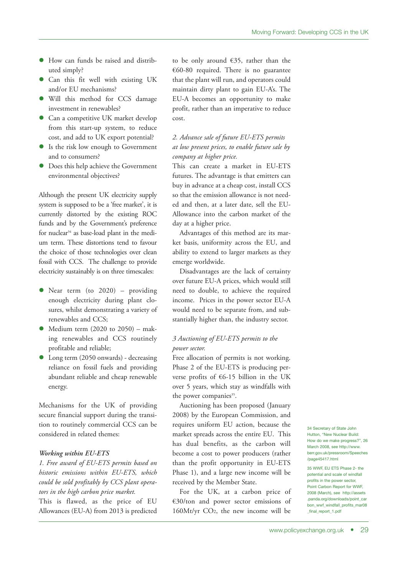- How can funds be raised and distributed simply?
- Can this fit well with existing UK and/or EU mechanisms?
- Will this method for CCS damage investment in renewables?
- Can a competitive UK market develop from this start-up system, to reduce cost, and add to UK export potential?
- Is the risk low enough to Government and to consumers?
- Does this help achieve the Government environmental objectives?

Although the present UK electricity supply system is supposed to be a 'free market', it is currently distorted by the existing ROC funds and by the Government's preference for nuclear <sup>34</sup> as base-load plant in the medium term. These distortions tend to favour the choice of those technologies over clean fossil with CCS. The challenge to provide electricity sustainably is on three timescales:

- Near term (to 2020) providing enough electricity during plant closures, whilst demonstrating a variety of renewables and CCS;
- $\bullet$  Medium term (2020 to 2050) making renewables and CCS routinely profitable and reliable;
- Long term (2050 onwards) decreasing reliance on fossil fuels and providing abundant reliable and cheap renewable energy.

Mechanisms for the UK of providing secure financial support during the transition to routinely commercial CCS can be considered in related themes:

#### *Working within EU-ETS*

*1. Free award of EU-ETS permits based on historic emissions within EU-ETS, which could be sold profitably by CCS plant operators in the high carbon price market.* This is flawed, as the price of EU Allowances (EU-A) from 2013 is predicted to be only around €35, rather than the €60-80 required. There is no guarantee that the plant will run, and operators could maintain dirty plant to gain EU-A's. The EU-A becomes an opportunity to make profit, rather than an imperative to reduce cost.

#### *2. Advance sale of future EU-ETS permits at low present prices, to enable future sale by company at higher price.*

This can create a market in EU-ETS futures. The advantage is that emitters can buy in advance at a cheap cost, install CCS so that the emission allowance is not needed and then, at a later date, sell the EU-Allowance into the carbon market of the day at a higher price.

Advantages of this method are its market basis, uniformity across the EU, and ability to extend to larger markets as they emerge worldwide.

Disadvantages are the lack of certainty over future EU-A prices, which would still need to double, to achieve the required income. Prices in the power sector EU-A would need to be separate from, and substantially higher than, the industry sector.

#### *3 Auctioning of EU-ETS permits to the power sector.*

Free allocation of permits is not working. Phase 2 of the EU-ETS is producing perverse profits of €6-15 billion in the UK over 5 years, which stay as windfalls with the power companies<sup>35</sup>.

Auctioning has been proposed (January 2008) by the European Commission, and requires uniform EU action, because the market spreads across the entire EU. This has dual benefits, as the carbon will become a cost to power producers (rather than the profit opportunity in EU-ETS Phase 1), and a large new income will be received by the Member State.

For the UK, at a carbon price of €30/ton and power sector emissions of 160Mt/yr CO2, the new income will be 34 Secretary of State John Hutton, "New Nuclear Build: How do we make progress?", 26 March 2008, see http://www. berr.gov.uk/pressroom/Speeches /page45417.html

35 WWF, EU ETS Phase 2- the potential and scale of windfall profits in the power sector, Point Carbon Report for WWF, 2008 (March), see http://assets .panda.org/downloads/point\_car bon\_wwf\_windfall\_profits\_mar08 final\_report\_1.pdf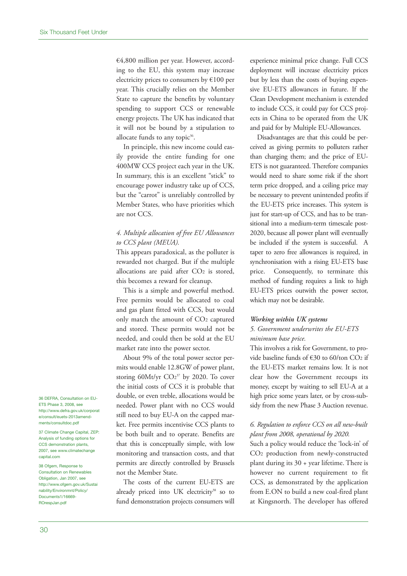€4,800 million per year. However, according to the EU, this system may increase electricity prices to consumers by €100 per year. This crucially relies on the Member State to capture the benefits by voluntary spending to support CCS or renewable energy projects. The UK has indicated that it will not be bound by a stipulation to allocate funds to any topic<sup>36</sup>.

In principle, this new income could easily provide the entire funding for one 400MW CCS project each year in the UK. In summary, this is an excellent "stick" to encourage power industry take up of CCS, but the "carrot" is unreliably controlled by Member States, who have priorities which are not CCS.

#### *4. Multiple allocation of free EU Allowances to CCS plant (MEUA).*

This appears paradoxical, as the polluter is rewarded not charged. But if the multiple allocations are paid after CO<sub>2</sub> is stored, this becomes a reward for cleanup.

This is a simple and powerful method. Free permits would be allocated to coal and gas plant fitted with CCS, but would only match the amount of CO2 captured and stored. These permits would not be needed, and could then be sold at the EU market rate into the power sector.

About 9% of the total power sector permits would enable 12.8GW of power plant, storing 60Mt/yr CO2 <sup>37</sup> by 2020. To cover the initial costs of CCS it is probable that double, or even treble, allocations would be needed. Power plant with no CCS would still need to buy EU-A on the capped market. Free permits incentivise CCS plants to be both built and to operate. Benefits are that this is conceptually simple, with low monitoring and transaction costs, and that permits are directly controlled by Brussels not the Member State.

The costs of the current EU-ETS are already priced into UK electricity<sup>38</sup> so to fund demonstration projects consumers will experience minimal price change. Full CCS deployment will increase electricity prices but by less than the costs of buying expensive EU-ETS allowances in future. If the Clean Development mechanism is extended to include CCS, it could pay for CCS projects in China to be operated from the UK and paid for by Multiple EU-Allowances.

Disadvantages are that this could be perceived as giving permits to polluters rather than charging them; and the price of EU-ETS is not guaranteed. Therefore companies would need to share some risk if the short term price dropped, and a ceiling price may be necessary to prevent unintended profits if the EU-ETS price increases. This system is just for start-up of CCS, and has to be transitional into a medium-term timescale post-2020, because all power plant will eventually be included if the system is successful. A taper to zero free allowances is required, in synchronisation with a rising EU-ETS base price. Consequently, to terminate this method of funding requires a link to high EU-ETS prices outwith the power sector, which may not be desirable.

#### *Working within UK systems*

#### *5. Government underwrites the EU-ETS minimum base price.*

This involves a risk for Government, to provide baseline funds of €30 to 60/ton CO2 if the EU-ETS market remains low. It is not clear how the Government recoups its money, except by waiting to sell EU-A at a high price some years later, or by cross-subsidy from the new Phase 3 Auction revenue.

#### *6. Regulation to enforce CCS on all new-built plant from 2008, operational by 2020.*

Such a policy would reduce the 'lock-in' of CO2 production from newly-constructed plant during its 30 + year lifetime. There is however no current requirement to fit CCS, as demonstrated by the application from E.ON to build a new coal-fired plant at Kingsnorth. The developer has offered

36 DEFRA, Consultation on EU-ETS Phase 3, 2008, see http://www.defra.gov.uk/corporat e/consult/euets-2013amendments/consultdoc.pdf

37 Climate Change Capital, ZEP: Analysis of funding options for CCS demonstration plants, 2007, see www.climatechange capital.com

38 Ofgem, Response to Consultation on Renewables Obligation, Jan 2007, see http://www.ofgem.gov.uk/Sustai nability/Environmnt/Policy/ Documents1/16669- ROrespJan.pdf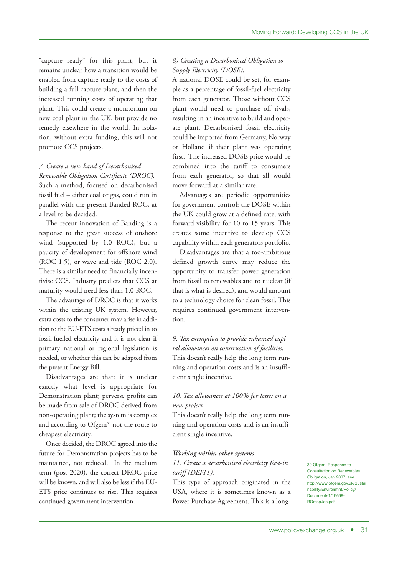"capture ready" for this plant, but it remains unclear how a transition would be enabled from capture ready to the costs of building a full capture plant, and then the increased running costs of operating that plant. This could create a moratorium on new coal plant in the UK, but provide no remedy elsewhere in the world. In isolation, without extra funding, this will not promote CCS projects.

#### *7. Create a new band of Decarbonised*

*Renewable Obligation Certificate (DROC).* Such a method, focused on decarbonised fossil fuel – either coal or gas, could run in parallel with the present Banded ROC, at a level to be decided.

The recent innovation of Banding is a response to the great success of onshore wind (supported by 1.0 ROC), but a paucity of development for offshore wind (ROC 1.5), or wave and tide (ROC 2.0). There is a similar need to financially incentivise CCS. Industry predicts that CCS at maturity would need less than 1.0 ROC.

The advantage of DROC is that it works within the existing UK system. However, extra costs to the consumer may arise in addition to the EU-ETS costs already priced in to fossil-fuelled electricity and it is not clear if primary national or regional legislation is needed, or whether this can be adapted from the present Energy Bill.

Disadvantages are that: it is unclear exactly what level is appropriate for Demonstration plant; perverse profits can be made from sale of DROC derived from non-operating plant; the system is complex and according to Ofgem<sup>39</sup> not the route to cheapest electricity.

Once decided, the DROC agreed into the future for Demonstration projects has to be maintained, not reduced. In the medium term (post 2020), the correct DROC price will be known, and will also be less if the EU-ETS price continues to rise. This requires continued government intervention.

#### *8) Creating a Decarbonised Obligation to Supply Electricity (DOSE).*

A national DOSE could be set, for example as a percentage of fossil-fuel electricity from each generator. Those without CCS plant would need to purchase off rivals, resulting in an incentive to build and operate plant. Decarbonised fossil electricity could be imported from Germany, Norway or Holland if their plant was operating first. The increased DOSE price would be combined into the tariff to consumers from each generator, so that all would move forward at a similar rate.

Advantages are periodic opportunities for government control: the DOSE within the UK could grow at a defined rate, with forward visibility for 10 to 15 years. This creates some incentive to develop CCS capability within each generators portfolio.

Disadvantages are that a too-ambitious defined growth curve may reduce the opportunity to transfer power generation from fossil to renewables and to nuclear (if that is what is desired), and would amount to a technology choice for clean fossil. This requires continued government intervention.

*9. Tax exemption to provide enhanced capital allowances on construction of facilities.* This doesn't really help the long term running and operation costs and is an insufficient single incentive.

#### *10. Tax allowances at 100% for losses on a new project.*

This doesn't really help the long term running and operation costs and is an insufficient single incentive.

#### *Working within other systems*

*11. Create a decarbonised electricity feed-in tariff (DEFIT).*

This type of approach originated in the USA, where it is sometimes known as a Power Purchase Agreement. This is a long39 Ofgem, Response to Consultation on Renewables Obligation, Jan 2007, see http://www.ofgem.gov.uk/Sustai nability/Environmnt/Policy/ Documents1/16669- ROrespJan.pdf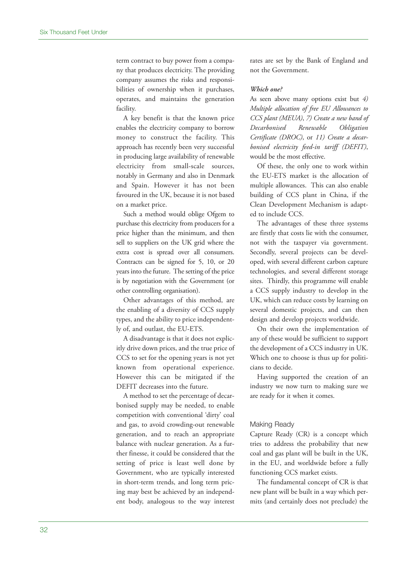term contract to buy power from a company that produces electricity. The providing company assumes the risks and responsibilities of ownership when it purchases, operates, and maintains the generation facility.

A key benefit is that the known price enables the electricity company to borrow money to construct the facility. This approach has recently been very successful in producing large availability of renewable electricity from small-scale sources, notably in Germany and also in Denmark and Spain. However it has not been favoured in the UK, because it is not based on a market price.

Such a method would oblige Ofgem to purchase this electricity from producers for a price higher than the minimum, and then sell to suppliers on the UK grid where the extra cost is spread over all consumers. Contracts can be signed for 5, 10, or 20 years into the future. The setting of the price is by negotiation with the Government (or other controlling organisation).

Other advantages of this method, are the enabling of a diversity of CCS supply types, and the ability to price independently of, and outlast, the EU-ETS.

A disadvantage is that it does not explicitly drive down prices, and the true price of CCS to set for the opening years is not yet known from operational experience. However this can be mitigated if the DEFIT decreases into the future.

A method to set the percentage of decarbonised supply may be needed, to enable competition with conventional 'dirty' coal and gas, to avoid crowding-out renewable generation, and to reach an appropriate balance with nuclear generation. As a further finesse, it could be considered that the setting of price is least well done by Government, who are typically interested in short-term trends, and long term pricing may best be achieved by an independent body, analogous to the way interest rates are set by the Bank of England and not the Government.

#### *Which one?*

As seen above many options exist but *4) Multiple allocation of free EU Allowances to CCS plant (MEUA)*, *7) Create a new band of Decarbonised Renewable Obligation Certificate (DROC)*, or *11) Create a decarbonised electricity feed-in tariff (DEFIT)*, would be the most effective.

Of these, the only one to work within the EU-ETS market is the allocation of multiple allowances. This can also enable building of CCS plant in China, if the Clean Development Mechanism is adapted to include CCS.

The advantages of these three systems are firstly that costs lie with the consumer, not with the taxpayer via government. Secondly, several projects can be developed, with several different carbon capture technologies, and several different storage sites. Thirdly, this programme will enable a CCS supply industry to develop in the UK, which can reduce costs by learning on several domestic projects, and can then design and develop projects worldwide.

On their own the implementation of any of these would be sufficient to support the development of a CCS industry in UK. Which one to choose is thus up for politicians to decide.

Having supported the creation of an industry we now turn to making sure we are ready for it when it comes.

#### Making Ready

Capture Ready (CR) is a concept which tries to address the probability that new coal and gas plant will be built in the UK, in the EU, and worldwide before a fully functioning CCS market exists.

The fundamental concept of CR is that new plant will be built in a way which permits (and certainly does not preclude) the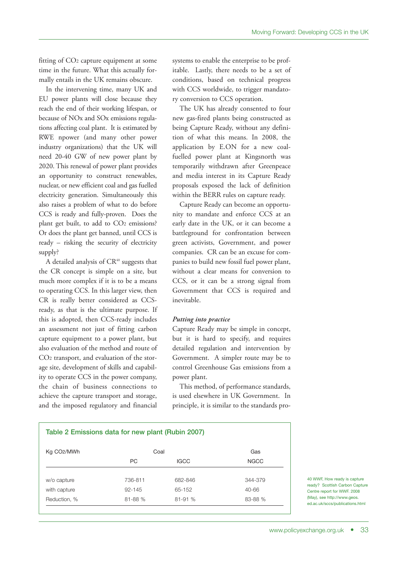fitting of CO2 capture equipment at some time in the future. What this actually formally entails in the UK remains obscure.

In the intervening time, many UK and EU power plants will close because they reach the end of their working lifespan, or because of NOx and SOx emissions regulations affecting coal plant. It is estimated by RWE npower (and many other power industry organizations) that the UK will need 20-40 GW of new power plant by 2020. This renewal of power plant provides an opportunity to construct renewables, nuclear, or new efficient coal and gas fuelled electricity generation. Simultaneously this also raises a problem of what to do before CCS is ready and fully-proven. Does the plant get built, to add to CO<sub>2</sub> emissions? Or does the plant get banned, until CCS is ready – risking the security of electricity supply?

A detailed analysis of  $CR<sup>40</sup>$  suggests that the CR concept is simple on a site, but much more complex if it is to be a means to operating CCS. In this larger view, then CR is really better considered as CCSready, as that is the ultimate purpose. If this is adopted, then CCS-ready includes an assessment not just of fitting carbon capture equipment to a power plant, but also evaluation of the method and route of CO2 transport, and evaluation of the storage site, development of skills and capability to operate CCS in the power company, the chain of business connections to achieve the capture transport and storage, and the imposed regulatory and financial

systems to enable the enterprise to be profitable. Lastly, there needs to be a set of conditions, based on technical progress with CCS worldwide, to trigger mandatory conversion to CCS operation.

The UK has already consented to four new gas-fired plants being constructed as being Capture Ready, without any definition of what this means. In 2008, the application by E.ON for a new coalfuelled power plant at Kingsnorth was temporarily withdrawn after Greenpeace and media interest in its Capture Ready proposals exposed the lack of definition within the BERR rules on capture ready.

Capture Ready can become an opportunity to mandate and enforce CCS at an early date in the UK, or it can become a battleground for confrontation between green activists, Government, and power companies. CR can be an excuse for companies to build new fossil fuel power plant, without a clear means for conversion to CCS, or it can be a strong signal from Government that CCS is required and inevitable.

#### *Putting into practice*

Capture Ready may be simple in concept, but it is hard to specify, and requires detailed regulation and intervention by Government. A simpler route may be to control Greenhouse Gas emissions from a power plant.

This method, of performance standards, is used elsewhere in UK Government. In principle, it is similar to the standards pro-

| Table 2 Emissions data for new plant (Rubin 2007) |            |             |             |  |  |  |  |  |
|---------------------------------------------------|------------|-------------|-------------|--|--|--|--|--|
| Kg CO <sub>2</sub> /MWh                           | Coal       | Gas         |             |  |  |  |  |  |
|                                                   | PC.        | <b>IGCC</b> | <b>NGCC</b> |  |  |  |  |  |
|                                                   |            |             |             |  |  |  |  |  |
| w/o capture                                       | 736-811    | 682-846     | 344-379     |  |  |  |  |  |
| with capture                                      | $92 - 145$ | 65-152      | 40-66       |  |  |  |  |  |
| Reduction, %                                      | 81-88 %    | 81-91 %     | 83-88 %     |  |  |  |  |  |

40 WWF, How ready is capture ready? Scottish Carbon Capture Centre report for WWF. 2008 (May), see http://www.geos. ed.ac.uk/sccs/publications.html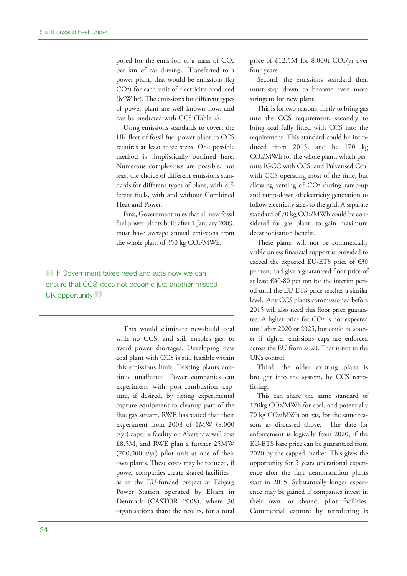posed for the emission of a mass of CO2 per km of car driving. Transferred to a power plant, that would be emissions (kg CO2) for each unit of electricity produced (MW hr). The emissions for different types of power plant are well known now, and can be predicted with CCS (Table 2).

Using emissions standards to covert the UK fleet of fossil fuel power plant to CCS requires at least three steps. One possible method is simplistically outlined here. Numerous complexities are possible, not least the choice of different emissions standards for different types of plant, with different fuels, with and without Combined Heat and Power.

First, Government rules that all new fossil fuel power plants built after 1 January 2009, must have average annual emissions from the whole plant of 350 kg CO2/MWh.

**11** If Government takes heed and acts now we can ensure that CCS does not become just another missed UK opportunity **19** 

> This would eliminate new-build coal with no CCS, and still enables gas, to avoid power shortages. Developing new coal plant with CCS is still feasible within this emissions limit. Existing plants continue unaffected. Power companies can experiment with post-combustion capture, if desired, by fitting experimental capture equipment to cleanup part of the flue gas stream. RWE has stated that their experiment from 2008 of 1MW (8,000 t/yr) capture facility on Aberthaw will cost £8.5M, and RWE plan a further 25MW (200,000 t/yr) pilot unit at one of their own plants. These costs may be reduced, if power companies create shared facilities – as in the EU-funded project at Esbjerg Power Station operated by Elsam in Denmark (CASTOR 2008), where 30 organisations share the results, for a total

price of £12.5M for 8,000t CO2/yr over four years.

Second, the emissions standard then must step down to become even more stringent for new plant.

This is for two reasons, firstly to bring gas into the CCS requirement; secondly to bring coal fully fitted with CCS into the requirement. This standard could be introduced from 2015, and be 170 kg CO2/MWh for the whole plant, which permits IGCC with CCS, and Pulverised Coal with CCS operating most of the time, but allowing venting of CO2 during ramp-up and ramp-down of electricity generation to follow electricity sales to the grid. A separate standard of 70 kg CO2/MWh could be considered for gas plant, to gain maximum decarbonisation benefit.

These plants will not be commercially viable unless financial support is provided to exceed the expected EU-ETS price of €30 per ton, and give a guaranteed floor price of at least €40-80 per ton for the interim period until the EU-ETS price reaches a similar level. Any CCS plants commissioned before 2015 will also need this floor price guarantee. A hgher price for CO2 is not expected until after 2020 or 2025, but could be sooner if tighter emissions caps are enforced across the EU from 2020. That is not in the UK's control.

Third, the older existing plant is brought into the system, by CCS retrofitting.

This can share the same standard of 170kg CO2/MWh for coal, and potentially 70 kg CO2/MWh on gas, for the same reasons as discussed above. The date for enforcement is logically from 2020, if the EU-ETS base price can be guaranteed from 2020 by the capped market. This gives the opportunity for 5 years operational experience after the first demonstration plants start in 2015. Substantially longer experience may be gained if companies invest in their own, or shared, pilot facilities. Commercial capture by retrofitting is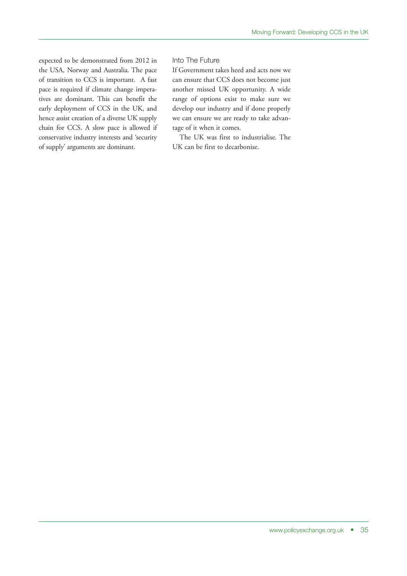expected to be demonstrated from 2012 in the USA, Norway and Australia. The pace of transition to CCS is important. A fast pace is required if climate change imperatives are dominant. This can benefit the early deployment of CCS in the UK, and hence assist creation of a diverse UK supply chain for CCS. A slow pace is allowed if conservative industry interests and 'security of supply' arguments are dominant.

#### Into The Future

If Government takes heed and acts now we can ensure that CCS does not become just another missed UK opportunity. A wide range of options exist to make sure we develop our industry and if done properly we can ensure we are ready to take advantage of it when it comes.

The UK was first to industrialise. The UK can be first to decarbonise.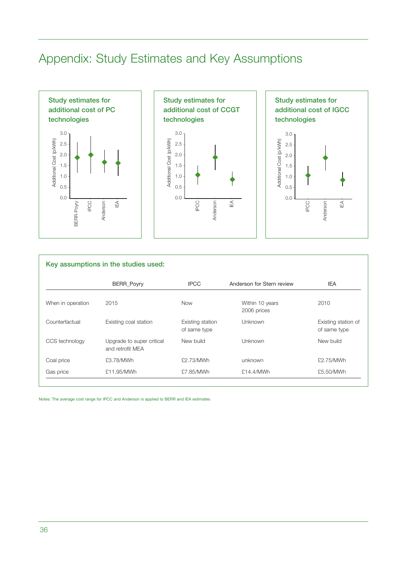## Appendix: Study Estimates and Key Assumptions







| Key assumptions in the studies used: |                                               |                                  |                                |                                     |  |  |  |  |
|--------------------------------------|-----------------------------------------------|----------------------------------|--------------------------------|-------------------------------------|--|--|--|--|
|                                      | BERR_Poyry                                    | <b>IPCC</b>                      | Anderson for Stern review      | <b>IEA</b>                          |  |  |  |  |
| When in operation                    | 2015                                          | <b>Now</b>                       | Within 10 years<br>2006 prices | 2010                                |  |  |  |  |
| Counterfactual                       | Existing coal station                         | Existing station<br>of same type | Unknown                        | Existing station of<br>of same type |  |  |  |  |
| CCS technology                       | Upgrade to super critical<br>and retrofit MEA | New build                        | Unknown                        | New build                           |  |  |  |  |
| Coal price                           | £3.78/MWh                                     | £2.73/MWh                        | unknown                        | £2.75/MWh                           |  |  |  |  |
| Gas price                            | £11.95/MWh                                    | £7.85/MWh                        | £14.4/MWh                      | £5.50/MWh                           |  |  |  |  |

Notes: The average cost range for IPCC and Anderson is applied to BERR and IEA estimates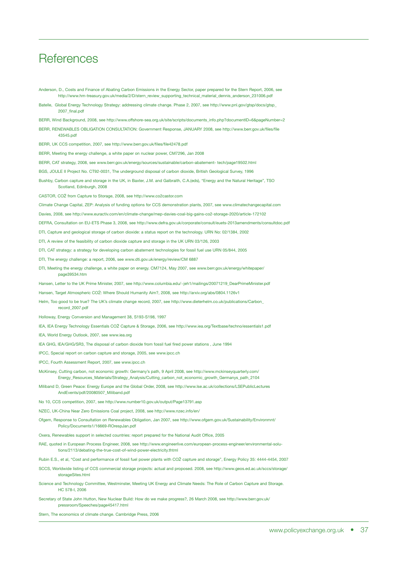### **References**

- Anderson, D., Costs and Finance of Abating Carbon Emissions in the Energy Sector, paper prepared for the Stern Report, 2006, see http://www.hm-treasury.gov.uk/media/2/D/stern\_review\_supporting\_technical\_material\_dennis\_anderson\_231006.pdf
- Batelle, Global Energy Technology Strategy: addressing climate change. Phase 2, 2007, see http://www.pnl.gov/gtsp/docs/gtsp\_ 2007\_final.pdf
- BERR, Wind Background, 2008, see http://www.offshore-sea.org.uk/site/scripts/documents\_info.php?documentID=6&pageNumber=2
- BERR, RENEWABLES OBLIGATION CONSULTATION: Government Response, JANUARY 2008, see http://www.berr.gov.uk/files/file 43545.pdf

BERR, UK CCS competition, 2007, see http://www.berr.gov.uk/files/file42478.pdf

- BERR, Meeting the energy challenge, a white paper on nuclear power, CM7296, Jan 2008
- BERR, CAT strategy, 2008, see www.berr.gov.uk/energy/sources/sustainable/carbon-abatement- tech/page19502.html
- BGS, JOULE II Project No. CT92-0031, The underground disposal of carbon dioxide, British Geological Survey, 1996
- Bushby, Carbon capture and storage in the UK, in Baxter, J.M. and Galbraith, C.A.(eds), "Energy and the Natural Heritage", TSO Scotland, Edinburgh, 2008
- CASTOR, CO2 from Capture to Storage, 2008, see http://www.co2castor.com
- Climate Change Capital, ZEP: Analysis of funding options for CCS demonstration plants, 2007, see www.climatechangecapital.com
- Davies, 2008, see http://www.euractiv.com/en/climate-change/mep-davies-coal-big-gains-co2-storage-2020/article-172102
- DEFRA, Consultation on EU-ETS Phase 3, 2008, see http://www.defra.gov.uk/corporate/consult/euets-2013amendments/consultdoc.pdf
- DTI, Capture and geological storage of carbon dioxide: a status report on the technology. URN No: 02/1384, 2002
- DTI, A review of the feasibility of carbon dioxide capture and storage in the UK URN 03/126, 2003
- DTI, CAT strategy: a strategy for developing carbon abatement technologies for fossil fuel use URN 05/844, 2005
- DTI, The energy challenge: a report, 2006, see www.dti.gov.uk/energy/review/CM 6887
- DTI, Meeting the energy challenge, a white paper on energy. CM7124, May 2007, see www.berr.gov.uk/energy/whitepaper/ page39534.htm
- Hansen, Letter to the UK Prime Minister, 2007, see http://www.columbia.edu/~jeh1/mailings/20071219\_DearPrimeMinister.pdf
- Hansen, Target Atmospheric CO2: Where Should Humanity Aim?, 2008, see http://arxiv.org/abs/0804.1126v1
- Helm, Too good to be true? The UK's climate change record, 2007, see http://www.dieterhelm.co.uk/publications/Carbon\_ record\_2007.pdf
- Holloway, Energy Conversion and Management 38, S193-S198, 1997
- IEA, IEA Energy Technology Essentials CO2 Capture & Storage, 2006, see http://www.iea.org/Textbase/techno/essentials1.pdf
- IEA, World Energy Outlook, 2007, see www.iea.org
- IEA GHG, IEA/GHG/SR3, The disposal of carbon dioxide from fossil fuel fired power stations , June 1994
- IPCC, Special report on carbon capture and storage, 2005, see www.ipcc.ch
- IPCC, Fourth Assessment Report, 2007, see www.ipcc.ch
- McKinsey, Cutting carbon, not economic growth: Germany's path, 9 April 2008, see http://www.mckinseyquarterly.com/ Energy\_Resources\_Materials/Strategy\_Analysis/Cutting\_carbon\_not\_economic\_growth\_Germanys\_path\_2104
- Miliband D, Green Peace: Energy Europe and the Global Order, 2008, see http://www.lse.ac.uk/collections/LSEPublicLectures AndEvents/pdf/20080507\_Miliband.pdf
- No 10, CCS competition, 2007, see http://www.number10.gov.uk/output/Page13791.asp
- NZEC, UK-China Near Zero Emissions Coal project, 2008, see http://www.nzec.info/en/
- Ofgem, Response to Consultation on Renewables Obligation, Jan 2007, see http://www.ofgem.gov.uk/Sustainability/Environmnt/ Policy/Documents1/16669-ROrespJan.pdf
- Oxera, Renewables support in selected countries: report prepared for the National Audit Office, 2005
- RAE, quoted in European Process Engineer, 2008, see http://www.engineerlive.com/european-process-engineer/environmental-solutions/2113/debating-the-true-cost-of-wind-power-electricity.thtml
- Rubin E.S., et al, "Cost and performance of fossil fuel power plants with CO2 capture and storage", Energy Policy 35: 4444-4454, 2007
- SCCS, Worldwide listing of CCS commercial storage projects: actual and proposed. 2008, see http://www.geos.ed.ac.uk/sccs/storage/ storageSites.html
- Science and Technology Committee, Westminster, Meeting UK Energy and Climate Needs: The Role of Carbon Capture and Storage. HC 578-I, 2006
- Secretary of State John Hutton, New Nuclear Build: How do we make progress?, 26 March 2008, see http://www.berr.gov.uk/ pressroom/Speeches/page45417.html
- Stern, The economics of climate change. Cambridge Press, 2006